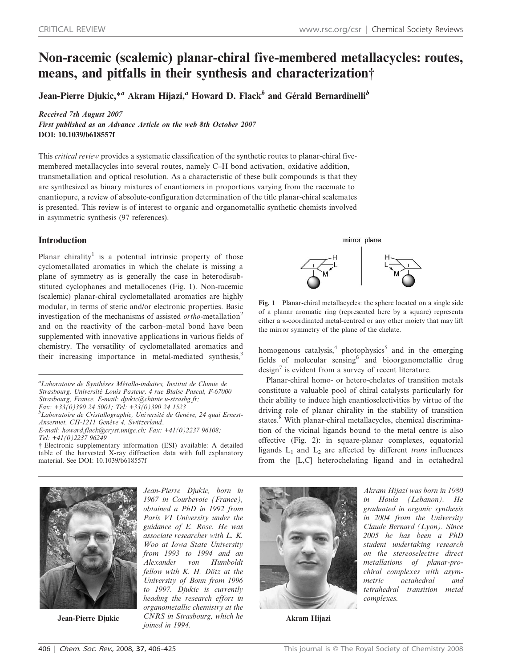# Non-racemic (scalemic) planar-chiral five-membered metallacycles: routes, means, and pitfalls in their synthesis and characterization{

Jean-Pierre Djukic,\*<sup>a</sup> Akram Hijazi,<sup>a</sup> Howard D. Flack<sup>b</sup> and Gérald Bernardinelli<sup>b</sup>

Received 7th August 2007

First published as an Advance Article on the web 8th October 2007 DOI: 10.1039/b618557f

This critical review provides a systematic classification of the synthetic routes to planar-chiral fivemembered metallacycles into several routes, namely C–H bond activation, oxidative addition, transmetallation and optical resolution. As a characteristic of these bulk compounds is that they are synthesized as binary mixtures of enantiomers in proportions varying from the racemate to enantiopure, a review of absolute-configuration determination of the title planar-chiral scalemates is presented. This review is of interest to organic and organometallic synthetic chemists involved in asymmetric synthesis (97 references).

# Introduction

Planar chirality<sup>1</sup> is a potential intrinsic property of those cyclometallated aromatics in which the chelate is missing a plane of symmetry as is generally the case in heterodisubstituted cyclophanes and metallocenes (Fig. 1). Non-racemic (scalemic) planar-chiral cyclometallated aromatics are highly modular, in terms of steric and/or electronic properties. Basic investigation of the mechanisms of assisted *ortho*-metallation<sup>2</sup> and on the reactivity of the carbon–metal bond have been supplemented with innovative applications in various fields of chemistry. The versatility of cyclometallated aromatics and chemistry. The versatility of cyclometallated aromatics and<br>their increasing importance in metal-mediated synthesis,<sup>3</sup> fields of malagylan equation<sup>6</sup> and biogrammetallis dura

<sup>a</sup>Laboratoire de Synthèses Métallo-induites, Institut de Chimie de Strasbourg, Université Louis Pasteur, 4 rue Blaise Pascal, F-67000 Strasbourg, France. E-mail: djukic@chimie.u-strasbg.fr; Fax: +33(0)390 24 5001; Tel: +33(0)390 24 1523  ${}^b$ Laboratoire de Cristallographie, Université de Genève, 24 quai Ernest-

Ansermet, CH-1211 Genève 4, Switzerland.. E-mail: howard.flack@cryst.unige.ch; Fax:  $+41(0)223796108$ ; Tel: +41(0)2237 96249

{ Electronic supplementary information (ESI) available: A detailed table of the harvested X-ray diffraction data with full explanatory material. See DOI: 10.1039/b618557f



Fig. 1 Planar-chiral metallacycles: the sphere located on a single side of a planar aromatic ring (represented here by a square) represents either a  $\pi$ -coordinated metal-centred or any other moiety that may lift the mirror symmetry of the plane of the chelate.

fields of molecular sensing<sup>6</sup> and bioorganometallic drug design<sup>7</sup> is evident from a survey of recent literature.

Planar-chiral homo- or hetero-chelates of transition metals constitute a valuable pool of chiral catalysts particularly for their ability to induce high enantioselectivities by virtue of the driving role of planar chirality in the stability of transition states.<sup>8</sup> With planar-chiral metallacycles, chemical discrimination of the vicinal ligands bound to the metal centre is also effective (Fig. 2): in square-planar complexes, equatorial ligands  $L_1$  and  $L_2$  are affected by different trans influences from the [L,C] heterochelating ligand and in octahedral



Jean-Pierre Djukic

Jean-Pierre Djukic, born in 1967 in Courbevoie (France), obtained a PhD in 1992 from Paris VI University under the guidance of E. Rose. He was associate researcher with L. K. Woo at Iowa State University from 1993 to 1994 and an Alexander von Humboldt fellow with K. H. Dötz at the University of Bonn from 1996 to 1997. Djukic is currently heading the research effort in organometallic chemistry at the CNRS in Strasbourg, which he **Akram Hijazi**<br>joined in 1994.



Akram Hijazi was born in 1980 in Houla (Lebanon). He graduated in organic synthesis in 2004 from the University Claude Bernard (Lyon). Since 2005 he has been a PhD student undertaking research on the stereoselective direct metallations of planar-prochiral complexes with asymmetric octahedral and tetrahedral transition metal complexes.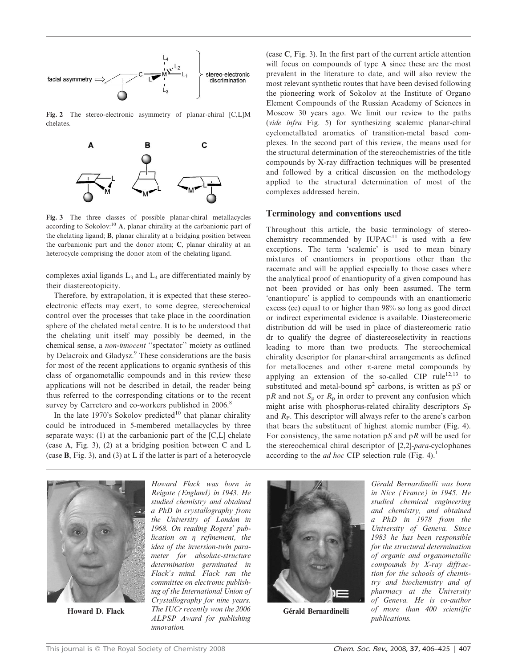

Fig. 2 The stereo-electronic asymmetry of planar-chiral [C,L]M chelates.



Fig. 3 The three classes of possible planar-chiral metallacycles according to Sokolov:<sup>10</sup> A, planar chirality at the carbanionic part of the chelating ligand; B, planar chirality at a bridging position between the carbanionic part and the donor atom; C, planar chirality at an heterocycle comprising the donor atom of the chelating ligand.

complexes axial ligands  $L_3$  and  $L_4$  are differentiated mainly by their diastereotopicity.

Therefore, by extrapolation, it is expected that these stereoelectronic effects may exert, to some degree, stereochemical control over the processes that take place in the coordination sphere of the chelated metal centre. It is to be understood that the chelating unit itself may possibly be deemed, in the chemical sense, a non-innocent ''spectator'' moiety as outlined by Delacroix and Gladysz.<sup>9</sup> These considerations are the basis for most of the recent applications to organic synthesis of this class of organometallic compounds and in this review these applications will not be described in detail, the reader being thus referred to the corresponding citations or to the recent survey by Carretero and co-workers published in 2006.<sup>8</sup>

In the late 1970's Sokolov predicted<sup>10</sup> that planar chirality could be introduced in 5-membered metallacycles by three separate ways: (1) at the carbanionic part of the [C,L] chelate (case A, Fig. 3), (2) at a bridging position between C and L (case B, Fig. 3), and (3) at L if the latter is part of a heterocycle

(case C, Fig. 3). In the first part of the current article attention will focus on compounds of type A since these are the most prevalent in the literature to date, and will also review the most relevant synthetic routes that have been devised following the pioneering work of Sokolov at the Institute of Organo Element Compounds of the Russian Academy of Sciences in Moscow 30 years ago. We limit our review to the paths (vide infra Fig. 5) for synthesizing scalemic planar-chiral cyclometallated aromatics of transition-metal based complexes. In the second part of this review, the means used for the structural determination of the stereochemistries of the title compounds by X-ray diffraction techniques will be presented and followed by a critical discussion on the methodology applied to the structural determination of most of the complexes addressed herein.

#### Terminology and conventions used

Throughout this article, the basic terminology of stereochemistry recommended by  $IUPAC<sup>11</sup>$  is used with a few exceptions. The term 'scalemic' is used to mean binary mixtures of enantiomers in proportions other than the racemate and will be applied especially to those cases where the analytical proof of enantiopurity of a given compound has not been provided or has only been assumed. The term 'enantiopure' is applied to compounds with an enantiomeric excess (ee) equal to or higher than 98% so long as good direct or indirect experimental evidence is available. Diastereomeric distribution dd will be used in place of diastereomeric ratio dr to qualify the degree of diastereoselectivity in reactions leading to more than two products. The stereochemical chirality descriptor for planar-chiral arrangements as defined for metallocenes and other  $\pi$ -arene metal compounds by applying an extension of the so-called CIP rule<sup>12,13</sup> to substituted and metal-bound  $sp<sup>2</sup>$  carbons, is written as pS or  $pR$  and not  $S_p$  or  $R_p$  in order to prevent any confusion which might arise with phosphorus-related chirality descriptors  $S_P$ and  $R<sub>P</sub>$ . This descriptor will always refer to the arene's carbon that bears the substituent of highest atomic number (Fig. 4). For consistency, the same notation  $pS$  and  $pR$  will be used for the stereochemical chiral descriptor of [2,2]-para-cyclophanes according to the *ad hoc* CIP selection rule (Fig. 4).<sup>1</sup>



Howard D. Flack

Howard Flack was born in Reigate (England) in 1943. He studied chemistry and obtained a PhD in crystallography from the University of London in 1968. On reading Rogers' publication on  $\eta$  refinement, the idea of the inversion-twin parameter for absolute-structure determination germinated in Flack's mind. Flack ran the committee on electronic publishing of the International Union of Crystallography for nine years. The IUCr recently won the 2006 ALPSP Award for publishing innovation.



Gérald Bernardinelli

Gérald Bernardinelli was born in Nice (France) in 1945. He studied chemical engineering and chemistry, and obtained a PhD in 1978 from the University of Geneva. Since 1983 he has been responsible for the structural determination of organic and organometallic compounds by X-ray diffraction for the schools of chemistry and biochemistry and of pharmacy at the University of Geneva. He is co-author of more than 400 scientific publications.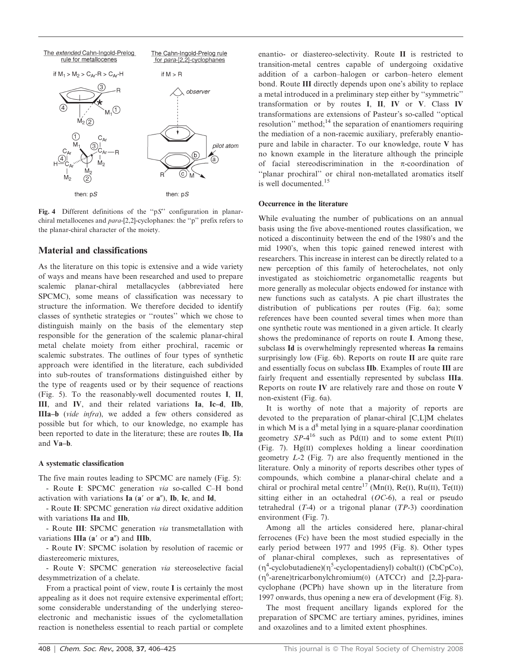

Fig. 4 Different definitions of the "pS" configuration in planarchiral metallocenes and para-[2,2]-cyclophanes: the ''p'' prefix refers to the planar-chiral character of the moiety.

# Material and classifications

As the literature on this topic is extensive and a wide variety of ways and means have been researched and used to prepare scalemic planar-chiral metallacycles (abbreviated here SPCMC), some means of classification was necessary to structure the information. We therefore decided to identify classes of synthetic strategies or ''routes'' which we chose to distinguish mainly on the basis of the elementary step responsible for the generation of the scalemic planar-chiral metal chelate moiety from either prochiral, racemic or scalemic substrates. The outlines of four types of synthetic approach were identified in the literature, each subdivided into sub-routes of transformations distinguished either by the type of reagents used or by their sequence of reactions (Fig. 5). To the reasonably-well documented routes I, II, III, and IV, and their related variations Ia, Ic–d, IIb, IIIa–b (vide infra), we added a few others considered as possible but for which, to our knowledge, no example has been reported to date in the literature; these are routes Ib, IIa and Va–b.

### A systematic classification

The five main routes leading to SPCMC are namely (Fig. 5): - Route I: SPCMC generation via so-called C–H bond

activation with variations  $Ia$  ( $a'$  or  $a''$ ),  $Ib$ ,  $Ic$ , and  $Id$ ,

- Route II: SPCMC generation via direct oxidative addition with variations IIa and IIb,

- Route III: SPCMC generation via transmetallation with variations  $IIIa$  ( $a'$  or  $a''$ ) and  $IIIb$ ,

- Route IV: SPCMC isolation by resolution of racemic or diastereomeric mixtures,

- Route V: SPCMC generation via stereoselective facial desymmetrization of a chelate.

From a practical point of view, route I is certainly the most appealing as it does not require extensive experimental effort; some considerable understanding of the underlying stereoelectronic and mechanistic issues of the cyclometallation reaction is nonetheless essential to reach partial or complete

enantio- or diastereo-selectivity. Route II is restricted to transition-metal centres capable of undergoing oxidative addition of a carbon–halogen or carbon–hetero element bond. Route III directly depends upon one's ability to replace a metal introduced in a preliminary step either by ''symmetric'' transformation or by routes I, II, IV or V. Class IV transformations are extensions of Pasteur's so-called ''optical resolution" method;<sup>14</sup> the separation of enantiomers requiring the mediation of a non-racemic auxiliary, preferably enantiopure and labile in character. To our knowledge, route V has no known example in the literature although the principle of facial stereodiscrimination in the  $\pi$ -coordination of ''planar prochiral'' or chiral non-metallated aromatics itself is well documented.<sup>15</sup>

#### Occurrence in the literature

While evaluating the number of publications on an annual basis using the five above-mentioned routes classification, we noticed a discontinuity between the end of the 1980's and the mid 1990's, when this topic gained renewed interest with researchers. This increase in interest can be directly related to a new perception of this family of heterochelates, not only investigated as stoichiometric organometallic reagents but more generally as molecular objects endowed for instance with new functions such as catalysts. A pie chart illustrates the distribution of publications per routes (Fig. 6a); some references have been counted several times when more than one synthetic route was mentioned in a given article. It clearly shows the predominance of reports on route I. Among these, subclass Id is overwhelmingly represented whereas Ia remains surprisingly low (Fig. 6b). Reports on route II are quite rare and essentially focus on subclass IIb. Examples of route III are fairly frequent and essentially represented by subclass IIIa. Reports on route IV are relatively rare and those on route V non-existent (Fig. 6a).

It is worthy of note that a majority of reports are devoted to the preparation of planar-chiral [C,L]M chelates in which M is a  $d^8$  metal lying in a square-planar coordination geometry  $SP-4^{16}$  such as Pd(II) and to some extent Pt(II) (Fig. 7). Hg(II) complexes holding a linear coordination geometry L-2 (Fig. 7) are also frequently mentioned in the literature. Only a minority of reports describes other types of compounds, which combine a planar-chiral chelate and a chiral or prochiral metal centre<sup>17</sup> (Mn(I), Re(I), Ru(II), Te(II)) sitting either in an octahedral  $(OC-6)$ , a real or pseudo tetrahedral  $(T-4)$  or a trigonal planar  $(TP-3)$  coordination environment (Fig. 7).

Among all the articles considered here, planar-chiral ferrocenes (Fc) have been the most studied especially in the early period between 1977 and 1995 (Fig. 8). Other types of planar-chiral complexes, such as representatives of  $(\eta^4$ -cyclobutadiene) $(\eta^5$ -cyclopentadienyl) cobalt(I) (CbCpCo), (n<sup>6</sup>-arene)tricarbonylchromium(0) (ATCCr) and [2,2]-paracyclophane (PCPh) have shown up in the literature from 1997 onwards, thus opening a new era of development (Fig. 8).

The most frequent ancillary ligands explored for the preparation of SPCMC are tertiary amines, pyridines, imines and oxazolines and to a limited extent phosphines.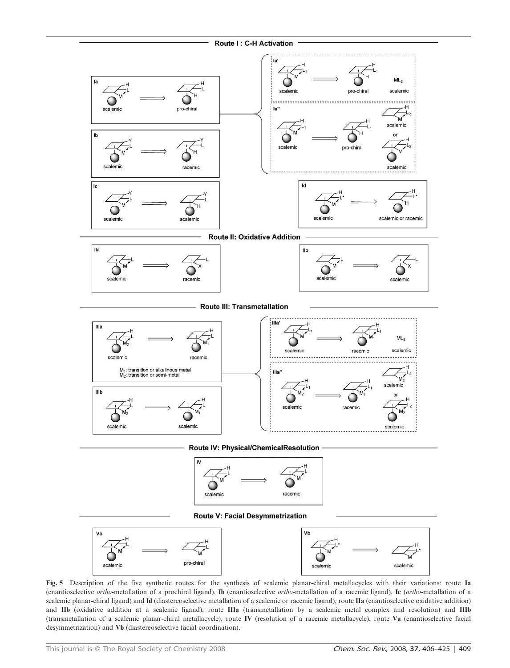

Route IV: Physical/ChemicalResolution



**Route V: Facial Desymmetrization** 



Fig. 5 Description of the five synthetic routes for the synthesis of scalemic planar-chiral metallacycles with their variations: route Ia (enantioselective ortho-metallation of a prochiral ligand), Ib (enantioselective ortho-metallation of a racemic ligand), Ic (ortho-metallation of a scalemic planar-chiral ligand) and Id (diastereoselective metallation of a scalemic or racemic ligand); route IIa (enantioselective oxidative addition) and IIb (oxidative addition at a scalemic ligand); route IIIa (transmetallation by a scalemic metal complex and resolution) and IIIb (transmetallation of a scalemic planar-chiral metallacycle); route IV (resolution of a racemic metallacycle); route Va (enantioselective facial desymmetrization) and Vb (diastereoselective facial coordination).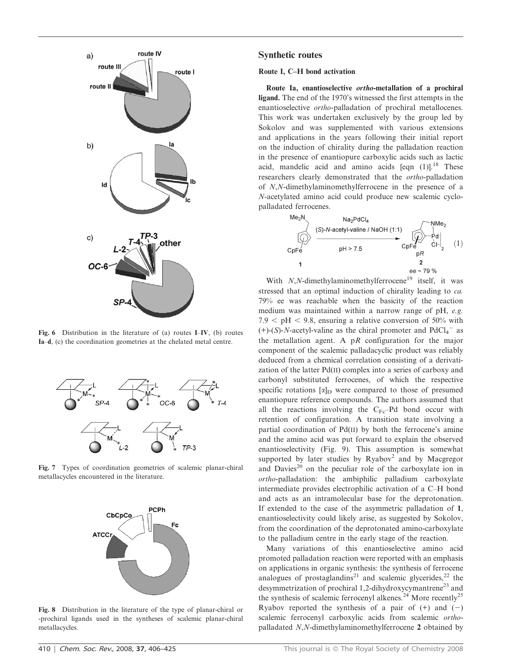

Fig. 6 Distribution in the literature of (a) routes I–IV, (b) routes Ia–d, (c) the coordination geometries at the chelated metal centre.



Fig. 7 Types of coordination geometries of scalemic planar-chiral metallacycles encountered in the literature.



Fig. 8 Distribution in the literature of the type of planar-chiral or -prochiral ligands used in the syntheses of scalemic planar-chiral metallacycles.

#### Synthetic routes

### Route I, C–H bond activation

Route Ia, enantioselective ortho-metallation of a prochiral ligand. The end of the 1970's witnessed the first attempts in the enantioselective ortho-palladation of prochiral metallocenes. This work was undertaken exclusively by the group led by Sokolov and was supplemented with various extensions and applications in the years following their initial report on the induction of chirality during the palladation reaction in the presence of enantiopure carboxylic acids such as lactic acid, mandelic acid and amino acids  $[eqn]$  (1)].<sup>18</sup> These researchers clearly demonstrated that the ortho-palladation of N,N-dimethylaminomethylferrocene in the presence of a N-acetylated amino acid could produce new scalemic cyclopalladated ferrocenes.



With  $N$ ,  $N$ -dimethylaminomethylferrocene<sup>19</sup> itself, it was stressed that an optimal induction of chirality leading to ca. 79% ee was reachable when the basicity of the reaction medium was maintained within a narrow range of pH, e.g. 7.9  $\lt$  pH  $\lt$  9.8, ensuring a relative conversion of 50% with  $(+)$ -(S)-N-acetyl-valine as the chiral promoter and PdCl<sub>4</sub><sup>-</sup> as the metallation agent. A  $pR$  configuration for the major component of the scalemic palladacyclic product was reliably deduced from a chemical correlation consisting of a derivatization of the latter Pd(II) complex into a series of carboxy and carbonyl substituted ferrocenes, of which the respective specific rotations  $[\alpha]_D$  were compared to those of presumed enantiopure reference compounds. The authors assumed that all the reactions involving the  $C_{\text{Fc}}$ -Pd bond occur with retention of configuration. A transition state involving a partial coordination of Pd(II) by both the ferrocene's amine and the amino acid was put forward to explain the observed enantioselectivity (Fig. 9). This assumption is somewhat supported by later studies by  $Ryabov<sup>2</sup>$  and by Macgregor and Davies<sup>20</sup> on the peculiar role of the carboxylate ion in ortho-palladation: the ambiphilic palladium carboxylate intermediate provides electrophilic activation of a C–H bond and acts as an intramolecular base for the deprotonation. If extended to the case of the asymmetric palladation of 1, enantioselectivity could likely arise, as suggested by Sokolov, from the coordination of the deprotonated amino-carboxylate to the palladium centre in the early stage of the reaction.

Many variations of this enantioselective amino acid promoted palladation reaction were reported with an emphasis on applications in organic synthesis: the synthesis of ferrocene analogues of prostaglandins<sup>21</sup> and scalemic glycerides,<sup>22</sup> the desymmetrization of prochiral 1,2-dihydroxycymantrene<sup>23</sup> and the synthesis of scalemic ferrocenyl alkenes.<sup>24</sup> More recently<sup>25</sup> Ryabov reported the synthesis of a pair of  $(+)$  and  $(-)$ scalemic ferrocenyl carboxylic acids from scalemic orthopalladated N,N-dimethylaminomethylferrocene 2 obtained by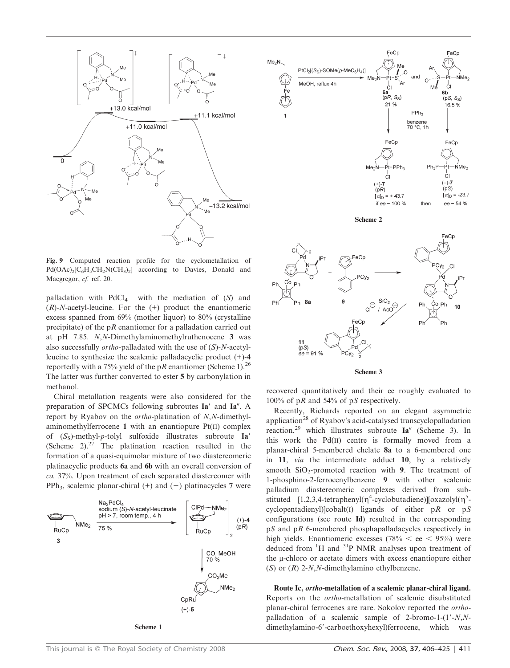

Fig. 9 Computed reaction profile for the cyclometallation of  $Pd(OAc)<sub>2</sub>[C<sub>6</sub>H<sub>5</sub>CH<sub>2</sub>N(CH<sub>3</sub>)<sub>2</sub>]$  according to Davies, Donald and Macgregor, cf. ref. 20.

palladation with  $PdCl_4$ <sup>-</sup> with the mediation of (S) and  $(R)$ -N-acetyl-leucine. For the  $(+)$  product the enantiomeric excess spanned from 69% (mother liquor) to 80% (crystalline precipitate) of the  $pR$  enantiomer for a palladation carried out at pH 7.85. N,N-Dimethylaminomethylruthenocene 3 was also successfully ortho-palladated with the use of (S)-N-acetylleucine to synthesize the scalemic palladacyclic product (+)-4 reportedly with a 75% yield of the pR enantiomer (Scheme 1).<sup>26</sup> The latter was further converted to ester 5 by carbonylation in methanol.

Chiral metallation reagents were also considered for the preparation of SPCMCs following subroutes Ia' and Ia". A report by Ryabov on the ortho-platination of N,N-dimethylaminomethylferrocene 1 with an enantiopure Pt(II) complex of  $(S<sub>S</sub>)$ -methyl-p-tolyl sulfoxide illustrates subroute Ia' (Scheme 2). $27$  The platination reaction resulted in the formation of a quasi-equimolar mixture of two diastereomeric platinacyclic products 6a and 6b with an overall conversion of ca. 37%. Upon treatment of each separated diastereomer with PPh<sub>3</sub>, scalemic planar-chiral (+) and (-) platinacycles 7 were





Scheme 2



recovered quantitatively and their ee roughly evaluated to 100% of pR and 54% of pS respectively.

Recently, Richards reported on an elegant asymmetric application<sup>28</sup> of Ryabov's acid-catalysed transcyclopalladation reaction,<sup>29</sup> which illustrates subroute  $Ia''$  (Scheme 3). In this work the Pd(II) centre is formally moved from a planar-chiral 5-membered chelate 8a to a 6-membered one in 11, via the intermediate adduct 10, by a relatively smooth  $SiO<sub>2</sub>$ -promoted reaction with 9. The treatment of 1-phosphino-2-ferrocenylbenzene 9 with other scalemic palladium diastereomeric complexes derived from substituted  $[1,2,3,4$ -tetraphenyl( $\eta^4$ -cyclobutadiene)][oxazolyl( $\eta^5$ cyclopentadienyl)]cobalt(I) ligands of either  $pR$  or  $pS$ configurations (see route Id) resulted in the corresponding pS and pR 6-membered phosphapalladacycles respectively in high yields. Enantiomeric excesses (78%  $<$  ee  $<$  95%) were deduced from  ${}^{1}H$  and  ${}^{31}P$  NMR analyses upon treatment of the  $\mu$ -chloro or acetate dimers with excess enantiopure either (S) or  $(R)$  2-N,N-dimethylamino ethylbenzene.

Route Ic, ortho-metallation of a scalemic planar-chiral ligand. Reports on the ortho-metallation of scalemic disubstituted planar-chiral ferrocenes are rare. Sokolov reported the orthopalladation of a scalemic sample of 2-bromo-1- $(1'-N,N-1)$ dimethylamino-6'-carboethoxyhexyl)ferrocene, which was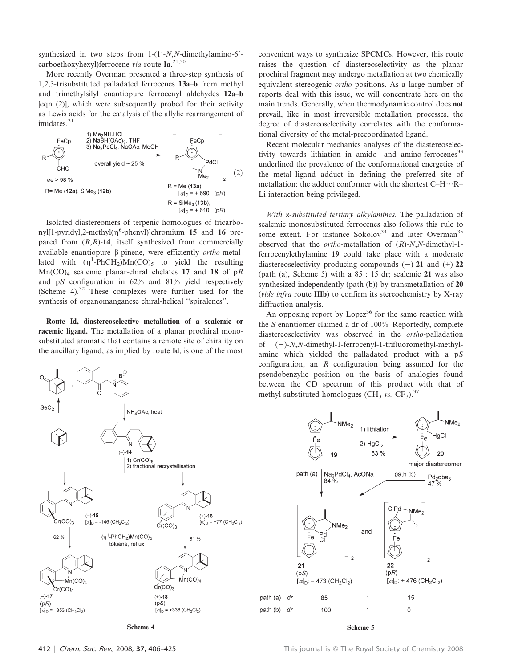synthesized in two steps from  $1-(1'-N,N)$ -dimethylamino-6'carboethoxyhexyl) ferrocene via route Ia.<sup>21,30</sup>

More recently Overman presented a three-step synthesis of 1,2,3-trisubstituted palladated ferrocenes 13a–b from methyl and trimethylsilyl enantiopure ferrocenyl aldehydes 12a–b [eqn (2)], which were subsequently probed for their activity as Lewis acids for the catalysis of the allylic rearrangement of imidates<sup>31</sup>



Isolated diastereomers of terpenic homologues of tricarbo $ny$ [1-pyridyl,2-methyl( $\eta^6$ -phenyl)]chromium 15 and 16 prepared from  $(R, R)$ -14, itself synthesized from commercially available enantiopure  $\beta$ -pinene, were efficiently *ortho-metal*lated with  $(\eta^1\text{-PhCH}_2)\text{Mn}(\text{CO})_5$  to yield the resulting  $Mn(CO)<sub>4</sub>$  scalemic planar-chiral chelates 17 and 18 of pR and pS configuration in 62% and 81% yield respectively (Scheme 4). $32$  These complexes were further used for the synthesis of organomanganese chiral-helical ''spiralenes''.

Route Id, diastereoselective metallation of a scalemic or racemic ligand. The metallation of a planar prochiral monosubstituted aromatic that contains a remote site of chirality on the ancillary ligand, as implied by route Id, is one of the most



convenient ways to synthesize SPCMCs. However, this route raises the question of diastereoselectivity as the planar prochiral fragment may undergo metallation at two chemically equivalent stereogenic ortho positions. As a large number of reports deal with this issue, we will concentrate here on the main trends. Generally, when thermodynamic control does not prevail, like in most irreversible metallation processes, the degree of diastereoselectivity correlates with the conformational diversity of the metal-precoordinated ligand.

Recent molecular mechanics analyses of the diastereoselectivity towards lithiation in amido- and amino-ferrocenes<sup>33</sup> underlined the prevalence of the conformational energetics of the metal–ligand adduct in defining the preferred site of metallation: the adduct conformer with the shortest C–H…R– Li interaction being privileged.

With *x*-substituted tertiary alkylamines. The palladation of scalemic monosubstituted ferrocenes also follows this rule to some extent. For instance Sokolov<sup>34</sup> and later Overman<sup>35</sup> observed that the ortho-metallation of (R)-N,N-dimethyl-1 ferrocenylethylamine 19 could take place with a moderate diastereoselectivity producing compounds  $(-)$ -21 and  $(+)$ -22 (path (a), Scheme 5) with a 85 : 15 dr; scalemic 21 was also synthesized independently (path (b)) by transmetallation of 20 (vide infra route IIIb) to confirm its stereochemistry by X-ray diffraction analysis.

An opposing report by Lopez<sup>36</sup> for the same reaction with the S enantiomer claimed a dr of 100%. Reportedly, complete diastereoselectivity was observed in the ortho-palladation of  $(-)$ -N,N-dimethyl-1-ferrocenyl-1-trifluoromethyl-methylamine which yielded the palladated product with a pS configuration, an R configuration being assumed for the pseudobenzylic position on the basis of analogies found between the CD spectrum of this product with that of methyl-substituted homologues (CH<sub>3</sub> vs. CF<sub>3</sub>).<sup>37</sup>

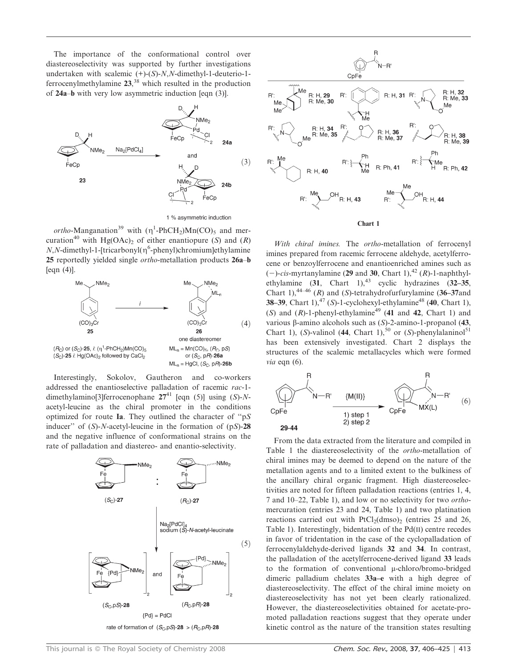The importance of the conformational control over diastereoselectivity was supported by further investigations undertaken with scalemic  $(+)$ - $(S)$ - $N$ , $N$ -dimethyl-1-deuterio-1ferrocenylmethylamine  $23$ ,<sup>38</sup> which resulted in the production of 24a–b with very low asymmetric induction [eqn (3)].



*ortho*-Manganation<sup>39</sup> with  $(\eta^1$ -PhCH<sub>2</sub>)Mn(CO)<sub>5</sub> and mercuration<sup>40</sup> with Hg(OAc)<sub>2</sub> of either enantiopure (S) and (R)  $N, N$ -dimethyl-1-[tricarbonyl( $\eta^6$ -phenyl)chromium]ethylamine 25 reportedly yielded single ortho-metallation products 26a–b  $[eqn(4)].$ 



Interestingly, Sokolov, Gautheron and co-workers addressed the enantioselective palladation of racemic rac-1 dimethylamino[3]ferrocenophane  $27^{41}$  [eqn (5)] using (S)-Nacetyl-leucine as the chiral promoter in the conditions optimized for route Ia. They outlined the character of ''pS inducer" of  $(S)$ -*N*-acetyl-leucine in the formation of  $(pS)$ -28 and the negative influence of conformational strains on the rate of palladation and diastereo- and enantio-selectivity.





With chiral imines. The ortho-metallation of ferrocenyl imines prepared from racemic ferrocene aldehyde, acetylferrocene or benzoylferrocene and enantioenriched amines such as  $(-)$ -cis-myrtanylamine (29 and 30, Chart 1),<sup>42</sup> (R)-1-naphthylethylamine  $(31, \text{ Chart } 1)$ ,<sup>43</sup> cyclic hydrazines  $(32-35, \text{$ Chart 1),<sup>44–46</sup> (R) and (S)-tetrahydrofurfurylamine (36–37and 38–39, Chart 1),<sup>47</sup> (S)-1-cyclohexyl-ethylamine<sup>48</sup> (40, Chart 1), (S) and  $(R)$ -1-phenyl-ethylamine<sup>49</sup> (41 and 42, Chart 1) and various  $\beta$ -amino alcohols such as  $(S)$ -2-amino-1-propanol (43, Chart 1), (S)-valinol (44, Chart 1),<sup>50</sup> or (S)-phenylalaninol<sup>51</sup> has been extensively investigated. Chart 2 displays the structures of the scalemic metallacycles which were formed *via* eqn  $(6)$ .



From the data extracted from the literature and compiled in Table 1 the diastereoselectivity of the ortho-metallation of chiral imines may be deemed to depend on the nature of the metallation agents and to a limited extent to the bulkiness of the ancillary chiral organic fragment. High diastereoselectivities are noted for fifteen palladation reactions (entries 1, 4, 7 and 10–22, Table 1), and low or no selectivity for two orthomercuration (entries 23 and 24, Table 1) and two platination reactions carried out with  $PtCl<sub>2</sub>(dmos)$ <sub>2</sub> (entries 25 and 26, Table 1). Interestingly, bidentation of the Pd(II) centre recedes in favor of tridentation in the case of the cyclopalladation of ferrocenylaldehyde-derived ligands 32 and 34. In contrast, the palladation of the acetylferrocene-derived ligand 33 leads to the formation of conventional  $\mu$ -chloro/bromo-bridged dimeric palladium chelates 33a–e with a high degree of diastereoselectivity. The effect of the chiral imine moiety on diastereoselectivity has not yet been clearly rationalized. However, the diastereoselectivities obtained for acetate-promoted palladation reactions suggest that they operate under kinetic control as the nature of the transition states resulting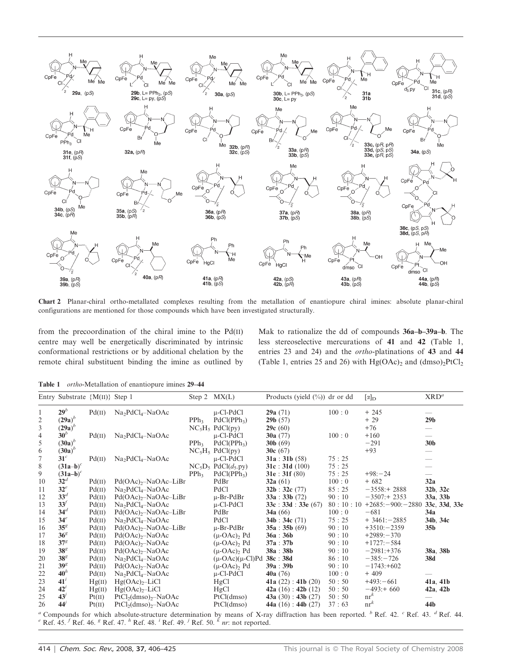

Chart 2 Planar-chiral ortho-metallated complexes resulting from the metallation of enantiopure chiral imines: absolute planar-chiral configurations are mentioned for those compounds which have been investigated structurally.

from the precoordination of the chiral imine to the Pd(II) centre may well be energetically discriminated by intrinsic conformational restrictions or by additional chelation by the remote chiral substituent binding the imine as outlined by Mak to rationalize the dd of compounds 36a–b–39a–b. The less stereoselective mercurations of 41 and 42 (Table 1, entries 23 and 24) and the ortho-platinations of 43 and 44 (Table 1, entries 25 and 26) with  $Hg(OAc)_2$  and  $(dmso)_2PtCl_2$ 

Table 1 *ortho-Metallation of enantiopure imines* 29–44

|                                                                                                                                                                              | Entry Substrate ${M(II)}$ Step 1 |        |                                  |                  | Step 2 $MX(L)$                       | Products (yield $(\%)$ ) dr or dd |       | $[\alpha]_{\text{D}}$      | XRD <sup>a</sup> |
|------------------------------------------------------------------------------------------------------------------------------------------------------------------------------|----------------------------------|--------|----------------------------------|------------------|--------------------------------------|-----------------------------------|-------|----------------------------|------------------|
| 1                                                                                                                                                                            | 29 <sup>b</sup>                  | Pd(II) | $Na2PdCl4-NaOAc$                 |                  | $\mu$ -Cl-PdCl                       | 29a(71)                           | 100:0 | $+245$                     |                  |
| 2                                                                                                                                                                            | $(29a)^b$                        |        |                                  | PPh <sub>3</sub> | PdCl(PPh <sub>3</sub> )              | 29b(57)                           |       | $+29$                      | 29 <sub>b</sub>  |
| 3                                                                                                                                                                            | $(29a)^b$                        |        |                                  |                  | $NC_5H_5$ PdCl(py)                   | 29c(60)                           |       | $+76$                      |                  |
| 4                                                                                                                                                                            | $30^b$                           | Pd(II) | $Na2PdCl4-NaOAc$                 |                  | u-Cl-PdCl                            | 30a $(77)$                        | 100:0 | $+160$                     |                  |
| 5                                                                                                                                                                            | $(30a)^b$                        |        |                                  | PPh <sub>3</sub> | PdCl(PPh <sub>3</sub> )              | $30b$ (69)                        |       | $-291$                     | 30 <sub>b</sub>  |
| 6                                                                                                                                                                            | $(30a)^b$                        |        |                                  |                  | $NC_5H_5$ PdCl(py)                   | 30 $c(67)$                        |       | $+93$                      |                  |
| 7                                                                                                                                                                            | 31 <sup>c</sup>                  | Pd(II) | $Na2PdCl4-NaOAc$                 |                  | $\mu$ -Cl-PdCl                       | 31a : 31b (58)                    | 75:25 |                            |                  |
| 8                                                                                                                                                                            | $(31a-b)^c$                      |        |                                  |                  | $NC_5D_5$ PdCl( $d_5.py$ )           | 31c : 31d (100)                   | 75:25 |                            |                  |
| 9                                                                                                                                                                            | $(31a-b)^c$                      |        |                                  | PPh <sub>3</sub> | PdCl(PPh <sub>3</sub> )              | 31e : 31f(80)                     | 75:25 | $+98: -24$                 |                  |
| 10                                                                                                                                                                           | 32 <sup>d</sup>                  | Pd(II) | $Pd(OAc)_{2}$ -NaOAc-LiBr        |                  | PdBr                                 | 32a $(61)$                        | 100:0 | $+682$                     | 32a              |
| 11                                                                                                                                                                           | $32^e$                           | Pd(II) | $Na2PdCl4-NaOAc$                 |                  | PdCl                                 | 32b : 32c (77)                    | 85:25 | $-3558:+2888$              | 32b, 32c         |
| 12                                                                                                                                                                           | 33 <sup>d</sup>                  | Pd(II) | Pd(OAc) <sub>2</sub> –NaOAc–LiBr |                  | $u$ -Br-PdBr                         | 33a : 33b (72)                    | 90:10 | $-3507:+2353$              | 33a, 33b         |
| 13                                                                                                                                                                           | 33 <sup>′</sup>                  | Pd(II) | $Na2PdCl4-NaOAc$                 |                  | u-Cl-PdCl                            | 33c : 33d : 33e (67)              |       | $80:10:10+2685:-900:-2880$ | 33c, 33d, 33e    |
| 14                                                                                                                                                                           | 34 <sup>d</sup>                  | Pd(II) | $Pd(OAc)_{2}$ -NaOAc-LiBr        |                  | PdBr                                 | 34a $(66)$                        | 100:0 | $-681$                     | 34a              |
| 15                                                                                                                                                                           | 34 <sup>e</sup>                  | Pd(II) | $Na2PdCl4-NaOAc$                 |                  | PdCl                                 | 34b : 34c (71)                    | 75:25 | $+3461:-2885$              | 34b, 34c         |
| 16                                                                                                                                                                           | 35 <sup>g</sup>                  | Pd(II) | $Pd(OAc)2$ -NaOAc-LiBr           |                  | $\mu$ -Br-PdBr                       | 35a : 35b (69)                    | 90:10 | $+3510:-2359$              | 35b              |
| 17                                                                                                                                                                           | 36 <sup>g</sup>                  | Pd(II) | $Pd(OAc)2$ -NaOAc                |                  | $(\mu$ -OAc) <sub>2</sub> Pd         | 36a : 36b                         | 90:10 | $+2989:-370$               |                  |
| 18                                                                                                                                                                           | 37 <sup>g</sup>                  | Pd(II) | $Pd(OAc)2$ -NaOAc                |                  | $(\mu$ -OAc) <sub>2</sub> Pd         | 37a : 37b                         | 90:10 | $+1727 - 584$              |                  |
| 19                                                                                                                                                                           | 38 <sup>g</sup>                  | Pd(II) | $Pd(OAc)2$ -NaOAc                |                  | $(\mu$ -OAc) <sub>2</sub> Pd         | 38a : 38b                         | 90:10 | $-2981:+376$               | 38a, 38b         |
| 20                                                                                                                                                                           | 38 <sup>g</sup>                  | Pd(II) | $Na2PdCl4-NaOAc$                 |                  | $(\mu$ -OAc) $(\mu$ -Cl)Pd 38c : 38d |                                   | 86:10 | $-385:-726$                | 38d              |
| 21                                                                                                                                                                           | 39 <sup>g</sup>                  | Pd(II) | $Pd(OAc)2$ -NaOAc                |                  | $(\mu$ -OAc), Pd                     | 39a : 39b                         | 90:10 | $-1743:+602$               |                  |
| 22                                                                                                                                                                           | 40 <sup>h</sup>                  | Pd(II) | $Na2PdCl4-NaOAc$                 |                  | u-Cl-PdCl                            | 40a(76)                           | 100:0 | $+409$                     |                  |
| 23                                                                                                                                                                           | $41^i$                           | Hg(II) | $Hg(OAc)2-LiCl$                  |                  | HgCl                                 | 41a $(22)$ : 41b $(20)$           | 50:50 | $+493:-661$                | 41a, 41b         |
| 24                                                                                                                                                                           | 42 <sup>t</sup>                  | Hg(II) | $Hg(OAc)2-LiCl$                  |                  | HgCl                                 | 42a $(16)$ : 42b $(12)$           | 50:50 | $-493:+660$                | 42a, 42b         |
| 25                                                                                                                                                                           | 43'                              | Pt(II) | $PtCl2(dmso)2–NaOAc$             |                  | PtCl(dmso)                           | 43a $(30)$ : 43b $(27)$           | 50:50 | $nr^k$                     |                  |
| 26                                                                                                                                                                           | 44'                              | Pt(II) | $PtCl2(dmso)2–NaOAc$             |                  | PtCl(dmso)                           | 44a $(16)$ : 44b $(27)$           | 37:63 | $nr^k$                     | 44b              |
| " Compounds for which absolute-structure determination by means of X-ray diffraction has been reported. $\frac{b}{c}$ Ref. 42. $\frac{c}{c}$ Ref. 43. $\frac{d}{c}$ Ref. 44. |                                  |        |                                  |                  |                                      |                                   |       |                            |                  |

<sup>e</sup> Ref. 45. <sup>f</sup> Ref. 46. <sup>g</sup> Ref. 47. <sup>h</sup> Ref. 48. <sup>i</sup> Ref. 49. <sup>j</sup> Ref. 50. <sup>k</sup> nr: not reported.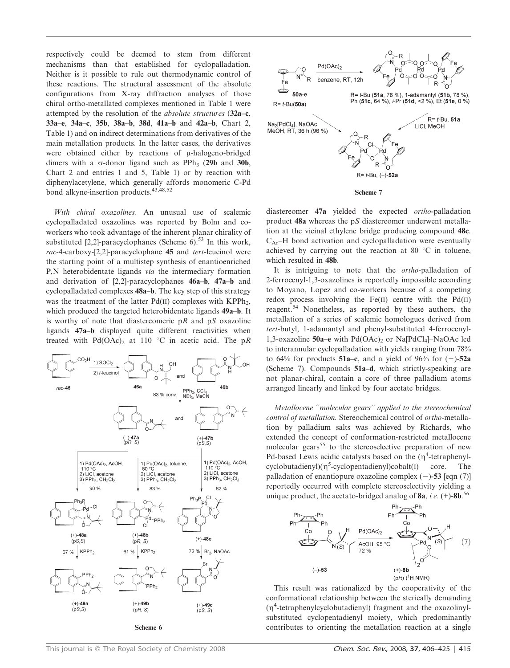respectively could be deemed to stem from different mechanisms than that established for cyclopalladation. Neither is it possible to rule out thermodynamic control of these reactions. The structural assessment of the absolute configurations from X-ray diffraction analyses of those chiral ortho-metallated complexes mentioned in Table 1 were attempted by the resolution of the absolute structures (32a–c, 33a–e, 34a–c, 35b, 38a–b, 38d, 41a–b and 42a–b, Chart 2, Table 1) and on indirect determinations from derivatives of the main metallation products. In the latter cases, the derivatives were obtained either by reactions of  $\mu$ -halogeno-bridged dimers with a  $\sigma$ -donor ligand such as PPh<sub>3</sub> (29b and 30b, Chart 2 and entries 1 and 5, Table 1) or by reaction with diphenylacetylene, which generally affords monomeric C-Pd bond alkyne-insertion products.43,48,52

With chiral oxazolines. An unusual use of scalemic cyclopalladated oxazolines was reported by Bolm and coworkers who took advantage of the inherent planar chirality of substituted [2,2]-paracyclophanes (Scheme  $6$ ).<sup>53</sup> In this work, rac-4-carboxy-[2,2]-paracyclophane 45 and tert-leucinol were the starting point of a multistep synthesis of enantioenriched P,N heterobidentate ligands via the intermediary formation and derivation of [2,2]-paracyclophanes 46a–b, 47a–b and cyclopalladated complexes 48a–b. The key step of this strategy was the treatment of the latter  $Pd(II)$  complexes with KPPh<sub>2</sub>, which produced the targeted heterobidentate ligands 49a–b. It is worthy of note that diastereomeric  $pR$  and  $pS$  oxazoline ligands 47a–b displayed quite different reactivities when treated with Pd(OAc)<sub>2</sub> at 110 °C in acetic acid. The pR





Scheme 7

diastereomer 47a yielded the expected ortho-palladation product 48a whereas the pS diastereomer underwent metallation at the vicinal ethylene bridge producing compound 48c.  $C_{Ar}$ –H bond activation and cyclopalladation were eventually achieved by carrying out the reaction at 80  $\degree$ C in toluene, which resulted in 48b.

It is intriguing to note that the ortho-palladation of 2-ferrocenyl-1,3-oxazolines is reportedly impossible according to Moyano, Lopez and co-workers because of a competing redox process involving the Fe(II) centre with the Pd(II) reagent.<sup>54</sup> Nonetheless, as reported by these authors, the metallation of a series of scalemic homologues derived from tert-butyl, 1-adamantyl and phenyl-substituted 4-ferrocenyl-1,3-oxazoline 50a–e with  $Pd(OAc)$  or Na[PdCl<sub>4</sub>]–NaOAc led to interannular cyclopalladation with yields ranging from 78% to 64% for products 51a–c, and a yield of 96% for  $(-)$ -52a (Scheme 7). Compounds 51a–d, which strictly-speaking are not planar-chiral, contain a core of three palladium atoms arranged linearly and linked by four acetate bridges.

Metallocene ''molecular gears'' applied to the stereochemical control of metallation. Stereochemical control of ortho-metallation by palladium salts was achieved by Richards, who extended the concept of conformation-restricted metallocene molecular gears<sup>55</sup> to the stereoselective preparation of new Pd-based Lewis acidic catalysts based on the  $(\eta^4$ -tetraphenyl $cyclobutadienyl)(\eta^5-cyclopentadienyl)cobalt(I)$  core. The palladation of enantiopure oxazoline complex  $(-)$ -53 [eqn (7)] reportedly occurred with complete stereoselectivity yielding a unique product, the acetato-bridged analog of 8a, *i.e.* (+)-8b.<sup>56</sup>



This result was rationalized by the cooperativity of the conformational relationship between the sterically demanding (g<sup>4</sup> -tetraphenylcyclobutadienyl) fragment and the oxazolinylsubstituted cyclopentadienyl moiety, which predominantly Scheme 6 contributes to orienting the metallation reaction at a single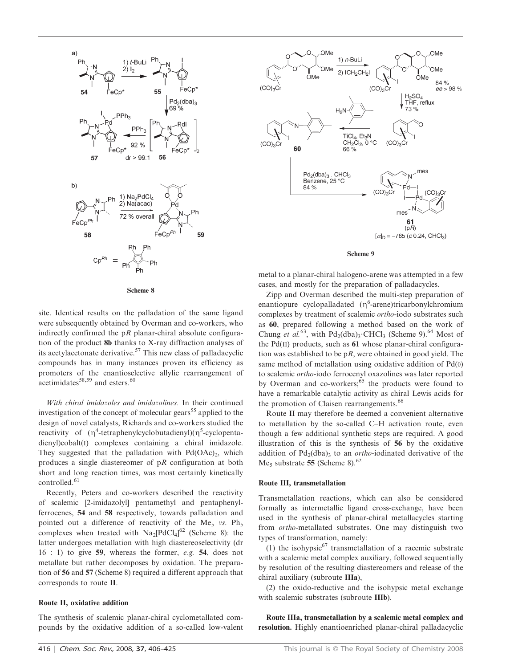

Scheme 8

site. Identical results on the palladation of the same ligand were subsequently obtained by Overman and co-workers, who indirectly confirmed the  $pR$  planar-chiral absolute configuration of the product 8b thanks to X-ray diffraction analyses of its acetylacetonate derivative.<sup>57</sup> This new class of palladacyclic compounds has in many instances proven its efficiency as promoters of the enantioselective allylic rearrangement of  $\arctan \arccos 58,59$  and esters.<sup>60</sup>

With chiral imidazoles and imidazolines. In their continued investigation of the concept of molecular gears<sup>55</sup> applied to the design of novel catalysts, Richards and co-workers studied the reactivity of  $(\eta^4$ -tetraphenylcyclobutadienyl) $(\eta^5$ -cyclopentadienyl)cobalt(I) complexes containing a chiral imidazole. They suggested that the palladation with  $Pd(OAc)_2$ , which produces a single diastereomer of pR configuration at both short and long reaction times, was most certainly kinetically controlled.<sup>61</sup>

Recently, Peters and co-workers described the reactivity of scalemic [2-imidazolyl] pentamethyl and pentaphenylferrocenes, 54 and 58 respectively, towards palladation and pointed out a difference of reactivity of the Me<sub>5</sub> vs. Ph<sub>5</sub> complexes when treated with  $\text{Na}_2[\text{PdCl}_4]^{62}$  (Scheme 8): the latter undergoes metallation with high diastereoselectivity (dr 16 : 1) to give 59, whereas the former, e.g. 54, does not metallate but rather decomposes by oxidation. The preparation of 56 and 57 (Scheme 8) required a different approach that corresponds to route II.

#### Route II, oxidative addition

The synthesis of scalemic planar-chiral cyclometallated compounds by the oxidative addition of a so-called low-valent





metal to a planar-chiral halogeno-arene was attempted in a few cases, and mostly for the preparation of palladacycles.

Zipp and Overman described the multi-step preparation of enantiopure cyclopalladated  $(\eta^6$ -arene)tricarbonylchromium complexes by treatment of scalemic ortho-iodo substrates such as 60, prepared following a method based on the work of Chung et al.<sup>63</sup>, with  $Pd_2(dba)$ <sup>3</sup>. CHCl<sub>3</sub> (Scheme 9).<sup>64</sup> Most of the  $Pd(I)$  products, such as 61 whose planar-chiral configuration was established to be  $pR$ , were obtained in good yield. The same method of metallation using oxidative addition of Pd(0) to scalemic ortho-iodo ferrocenyl oxazolines was later reported by Overman and co-workers;<sup>65</sup> the products were found to have a remarkable catalytic activity as chiral Lewis acids for the promotion of Claisen rearrangements.<sup>66</sup>

Route II may therefore be deemed a convenient alternative to metallation by the so-called C–H activation route, even though a few additional synthetic steps are required. A good illustration of this is the synthesis of 56 by the oxidative addition of  $Pd_2(dba)$ <sub>3</sub> to an *ortho*-iodinated derivative of the Me<sub>5</sub> substrate 55 (Scheme 8).<sup>62</sup>

#### Route III, transmetallation

Transmetallation reactions, which can also be considered formally as intermetallic ligand cross-exchange, have been used in the synthesis of planar-chiral metallacycles starting from ortho-metallated substrates. One may distinguish two types of transformation, namely:

(1) the isohypsic<sup>67</sup> transmetallation of a racemic substrate with a scalemic metal complex auxiliary, followed sequentially by resolution of the resulting diastereomers and release of the chiral auxiliary (subroute IIIa),

(2) the oxido-reductive and the isohypsic metal exchange with scalemic substrates (subroute IIIb).

Route IIIa, transmetallation by a scalemic metal complex and resolution. Highly enantioenriched planar-chiral palladacyclic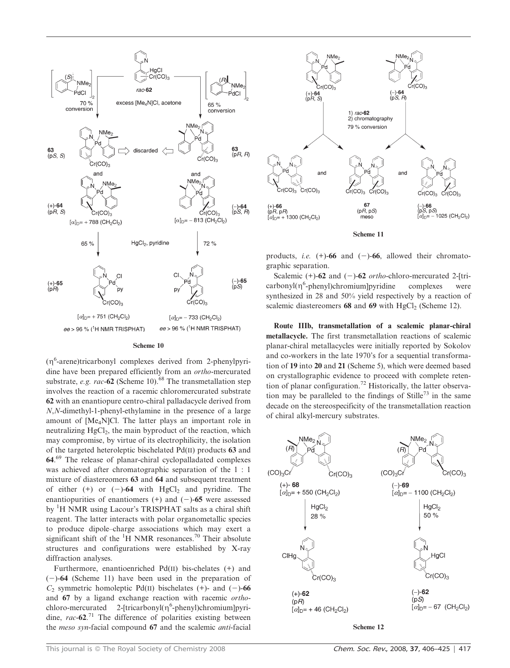

#### Scheme 10

(n<sup>6</sup>-arene)tricarbonyl complexes derived from 2-phenylpyridine have been prepared efficiently from an ortho-mercurated substrate, e.g. rac-62 (Scheme 10).<sup>68</sup> The transmetallation step involves the reaction of a racemic chloromercurated substrate 62 with an enantiopure centro-chiral palladacycle derived from N,N-dimethyl-1-phenyl-ethylamine in the presence of a large amount of [Me4N]Cl. The latter plays an important role in neutralizing  $HgCl<sub>2</sub>$ , the main byproduct of the reaction, which may compromise, by virtue of its electrophilicity, the isolation of the targeted heteroleptic bischelated Pd(II) products 63 and 64.<sup>69</sup> The release of planar-chiral cyclopalladated complexes was achieved after chromatographic separation of the 1 : 1 mixture of diastereomers 63 and 64 and subsequent treatment of either  $(+)$  or  $(-)$ -64 with HgCl<sub>2</sub> and pyridine. The enantiopurities of enantiomers  $(+)$  and  $(-)$ -65 were assessed by <sup>1</sup>H NMR using Lacour's TRISPHAT salts as a chiral shift reagent. The latter interacts with polar organometallic species to produce dipole–charge associations which may exert a significant shift of the  ${}^{1}H$  NMR resonances.<sup>70</sup> Their absolute structures and configurations were established by X-ray diffraction analyses.

Furthermore, enantioenriched Pd(II) bis-chelates (+) and  $(-)$ -64 (Scheme 11) have been used in the preparation of  $C_2$  symmetric homoleptic Pd(II) bischelates (+)- and (-)-66 and 67 by a ligand exchange reaction with racemic orthochloro-mercurated 2-[tricarbonyl( $\eta^6$ -phenyl)chromium]pyridine,  $rac{62.71}{ }$  The difference of polarities existing between the meso syn-facial compound 67 and the scalemic anti-facial



Scheme 11

products, *i.e.*  $(+)$ -66 and  $(-)$ -66, allowed their chromatographic separation.

Scalemic  $(+)$ -62 and  $(-)$ -62 *ortho-chloro-mercurated* 2-[tricarbonyl(n<sup>6</sup>-phenyl)chromium]pyridine complexes were synthesized in 28 and 50% yield respectively by a reaction of scalemic diastereomers  $68$  and  $69$  with HgCl<sub>2</sub> (Scheme 12).

Route IIIb, transmetallation of a scalemic planar-chiral metallacycle. The first transmetallation reactions of scalemic planar-chiral metallacycles were initially reported by Sokolov and co-workers in the late 1970's for a sequential transformation of 19 into 20 and 21 (Scheme 5), which were deemed based on crystallographic evidence to proceed with complete retention of planar configuration.<sup>72</sup> Historically, the latter observation may be paralleled to the findings of Stille<sup>73</sup> in the same decade on the stereospecificity of the transmetallation reaction of chiral alkyl-mercury substrates.



Scheme 12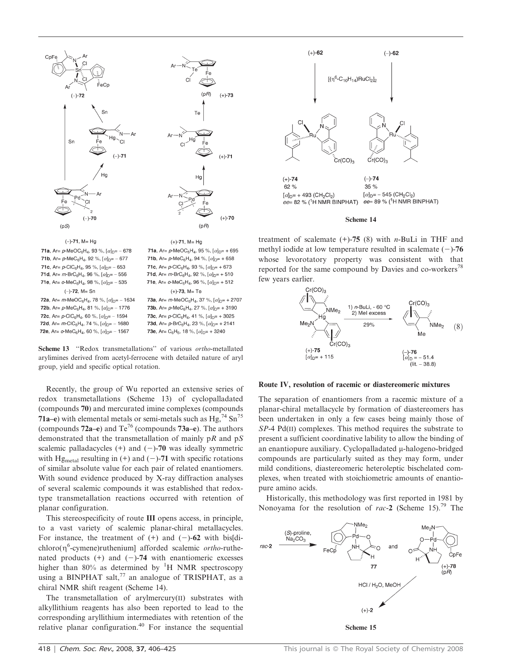



**71b**, Ar=  $p$ -MeC<sub>6</sub>H<sub>4</sub>, 92 %,  $[\alpha]_{D}$ = - 677 **71c**, Ar=  $p$ -CIC<sub>6</sub>H<sub>4</sub>, 95 %,  $[\alpha]_{D}$ = - 653 **71d**, Ar=  $m$ -BrC<sub>6</sub>H<sub>4</sub>, 96 %,  $[\alpha]_{D}$ = - 556 **71e**, Ar=  $o$ -MeC<sub>6</sub>H<sub>4</sub>, 98 %, [ $\alpha$ ]<sub>D</sub>= - 535  $(-) - 72$ , M= Sn 72a, Ar= m-MeOC<sub>6</sub>H<sub>4</sub>, 78 %, [ $\alpha$ ]<sub>D</sub>= - 1634

**72b**, Ar=  $p$ -MeC<sub>6</sub>H<sub>4</sub>, 81 %,  $[\alpha]_{D}$ = - 1776 **72c**, Ar=  $p$ -CIC<sub>6</sub>H<sub>4</sub>, 60 %, [ $\alpha$ ]<sub>D</sub>= - 1594 **72d**, Ar=  $m$ -CIC<sub>6</sub>H<sub>4</sub>, 74 %,  $[\alpha]_{D}$ = - 1680 72e, Ar=  $o$ -MeC<sub>6</sub>H<sub>4</sub>, 60 %, [ $\alpha$ ]<sub>D</sub>= - 1567

**71a**, Ar=  $p$ -MeOC<sub>6</sub>H<sub>4</sub>, 95 %, [ $\alpha$ ]<sub>D</sub>= + 695 71b, Ar=  $p$ -MeC<sub>6</sub>H<sub>4</sub>, 94 %, [ $\alpha$ ]<sub>D</sub>= + 658 **71c**, Ar=  $p$ -CIC<sub>6</sub>H<sub>4</sub>, 93 %,  $[\alpha]_{D}$ = + 673 **71d**, Ar=  $m$ -BrC<sub>6</sub>H<sub>4</sub>, 92 %,  $[\alpha]_{D}$ = + 510 71e, Ar=  $o$ -MeC<sub>6</sub>H<sub>4</sub>, 96 %, [ $\alpha$ ]<sub>D</sub>= + 512  $(+)$ -73, M= Te 73a, Ar= m-MeOC<sub>6</sub>H<sub>4</sub>, 37 %, [ $\alpha$ ]<sub>D</sub>= + 2707 **73b**, Ar=  $p$ -MeC<sub>6</sub>H<sub>4</sub>, 27 %,  $[\alpha]_{D}$ = + 3190 **73c**, Ar=  $p$ -CIC<sub>6</sub>H<sub>4</sub>, 41 %, [ $\alpha$ ]<sub>D</sub>= + 3025

73d, Ar=  $p$ -BrC<sub>6</sub>H<sub>4</sub>, 23 %, [ $\alpha$ ]<sub>D</sub>= + 2141

**73e**, Ar= C<sub>6</sub>H<sub>5</sub>, 18 %, [ $\alpha$ ]<sub>D</sub>= + 3240

Scheme 13 "Redox transmetallations" of various *ortho-metallated* arylimines derived from acetyl-ferrocene with detailed nature of aryl group, yield and specific optical rotation.

Recently, the group of Wu reported an extensive series of redox transmetallations (Scheme 13) of cyclopalladated (compounds 70) and mercurated imine complexes (compounds 71a–e) with elemental metals or semi-metals such as  $Hg<sub>1</sub><sup>74</sup> Sn<sup>75</sup>$ (compounds  $72a-e$ ) and  $Te^{76}$  (compounds  $73a-e$ ). The authors demonstrated that the transmetallation of mainly  $pR$  and  $pS$ scalemic palladacycles  $(+)$  and  $(-)$ -70 was ideally symmetric with Hg<sub>metal</sub> resulting in  $(+)$  and  $(-)$ -71 with specific rotations of similar absolute value for each pair of related enantiomers. With sound evidence produced by X-ray diffraction analyses of several scalemic compounds it was established that redoxtype transmetallation reactions occurred with retention of planar configuration.

This stereospecificity of route III opens access, in principle, to a vast variety of scalemic planar-chiral metallacycles. For instance, the treatment of  $(+)$  and  $(-)$ -62 with bis[di $chloro(\eta^6$ -cymene)ruthenium] afforded scalemic *ortho*-ruthenated products  $(+)$  and  $(-)$ -74 with enantiomeric excesses higher than 80% as determined by  ${}^{1}H$  NMR spectroscopy using a BINPHAT salt, $^{77}$  an analogue of TRISPHAT, as a chiral NMR shift reagent (Scheme 14).

The transmetallation of arylmercury(II) substrates with alkyllithium reagents has also been reported to lead to the corresponding aryllithium intermediates with retention of the relative planar configuration.<sup>40</sup> For instance the sequential



#### Scheme 14

treatment of scalemate  $(+)$ -75 (8) with *n*-BuLi in THF and methyl iodide at low temperature resulted in scalemate  $(-)$ -76 whose levorotatory property was consistent with that reported for the same compound by Davies and co-workers<sup>78</sup> few years earlier.



#### Route IV, resolution of racemic or diastereomeric mixtures

The separation of enantiomers from a racemic mixture of a planar-chiral metallacycle by formation of diastereomers has been undertaken in only a few cases being mainly those of SP-4 Pd(II) complexes. This method requires the substrate to present a sufficient coordinative lability to allow the binding of an enantiopure auxiliary. Cyclopalladated  $\mu$ -halogeno-bridged compounds are particularly suited as they may form, under mild conditions, diastereomeric heteroleptic bischelated complexes, when treated with stoichiometric amounts of enantiopure amino acids.

Historically, this methodology was first reported in 1981 by Nonoyama for the resolution of rac-2 (Scheme 15).<sup>79</sup> The

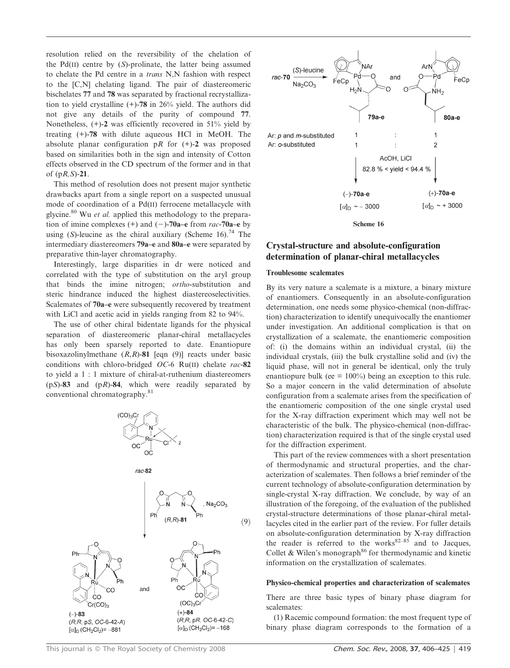resolution relied on the reversibility of the chelation of the Pd(II) centre by  $(S)$ -prolinate, the latter being assumed to chelate the Pd centre in a trans N,N fashion with respect to the [C,N] chelating ligand. The pair of diastereomeric bischelates 77 and 78 was separated by fractional recrystallization to yield crystalline (+)-78 in 26% yield. The authors did not give any details of the purity of compound 77. Nonetheless,  $(+)$ -2 was efficiently recovered in 51% yield by treating (+)-78 with dilute aqueous HCl in MeOH. The absolute planar configuration pR for  $(+)$ -2 was proposed based on similarities both in the sign and intensity of Cotton effects observed in the CD spectrum of the former and in that of  $(pR, S)$ -21.

This method of resolution does not present major synthetic drawbacks apart from a single report on a suspected unusual mode of coordination of a Pd(II) ferrocene metallacycle with glycine.<sup>80</sup> Wu et al. applied this methodology to the preparation of imine complexes (+) and (-)-70a–e from rac-70a–e by using (S)-leucine as the chiral auxiliary (Scheme 16).<sup>74</sup> The intermediary diastereomers 79a–e and 80a–e were separated by preparative thin-layer chromatography.

Interestingly, large disparities in dr were noticed and correlated with the type of substitution on the aryl group that binds the imine nitrogen; ortho-substitution and steric hindrance induced the highest diastereoselectivities. Scalemates of 70a–e were subsequently recovered by treatment with LiCl and acetic acid in yields ranging from 82 to 94%.

The use of other chiral bidentate ligands for the physical separation of diastereomeric planar-chiral metallacycles has only been sparsely reported to date. Enantiopure bisoxazolinylmethane  $(R, R)$ -81 [eqn (9)] reacts under basic conditions with chloro-bridged  $OC-6$  Ru(II) chelate rac-82 to yield a 1 : 1 mixture of chiral-at-ruthenium diastereomers  $(pS)$ -83 and  $(pR)$ -84, which were readily separated by conventional chromatography.<sup>81</sup>





# Crystal-structure and absolute-configuration determination of planar-chiral metallacycles

### Troublesome scalemates

By its very nature a scalemate is a mixture, a binary mixture of enantiomers. Consequently in an absolute-configuration determination, one needs some physico-chemical (non-diffraction) characterization to identify unequivocally the enantiomer under investigation. An additional complication is that on crystallization of a scalemate, the enantiomeric composition of: (i) the domains within an individual crystal, (ii) the individual crystals, (iii) the bulk crystalline solid and (iv) the liquid phase, will not in general be identical, only the truly enantiopure bulk (ee  $= 100\%$ ) being an exception to this rule. So a major concern in the valid determination of absolute configuration from a scalemate arises from the specification of the enantiomeric composition of the one single crystal used for the X-ray diffraction experiment which may well not be characteristic of the bulk. The physico-chemical (non-diffraction) characterization required is that of the single crystal used for the diffraction experiment.

This part of the review commences with a short presentation of thermodynamic and structural properties, and the characterization of scalemates. Then follows a brief reminder of the current technology of absolute-configuration determination by single-crystal X-ray diffraction. We conclude, by way of an illustration of the foregoing, of the evaluation of the published crystal-structure determinations of those planar-chiral metallacycles cited in the earlier part of the review. For fuller details on absolute-configuration determination by X-ray diffraction the reader is referred to the works $82-85$  and to Jacques, Collet & Wilen's monograph<sup>86</sup> for thermodynamic and kinetic information on the crystallization of scalemates.

### Physico-chemical properties and characterization of scalemates

There are three basic types of binary phase diagram for scalemates:

(1) Racemic compound formation: the most frequent type of binary phase diagram corresponds to the formation of a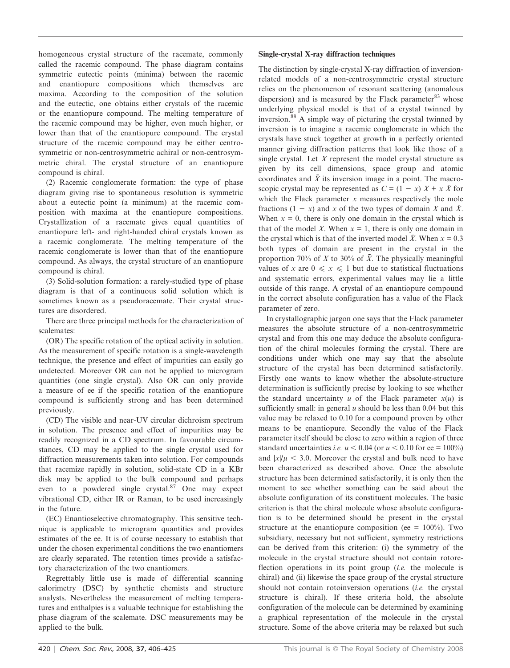homogeneous crystal structure of the racemate, commonly called the racemic compound. The phase diagram contains symmetric eutectic points (minima) between the racemic and enantiopure compositions which themselves are maxima. According to the composition of the solution and the eutectic, one obtains either crystals of the racemic or the enantiopure compound. The melting temperature of the racemic compound may be higher, even much higher, or lower than that of the enantiopure compound. The crystal structure of the racemic compound may be either centrosymmetric or non-centrosymmetric achiral or non-centrosymmetric chiral. The crystal structure of an enantiopure compound is chiral.

(2) Racemic conglomerate formation: the type of phase diagram giving rise to spontaneous resolution is symmetric about a eutectic point (a minimum) at the racemic composition with maxima at the enantiopure compositions. Crystallization of a racemate gives equal quantities of enantiopure left- and right-handed chiral crystals known as a racemic conglomerate. The melting temperature of the racemic conglomerate is lower than that of the enantiopure compound. As always, the crystal structure of an enantiopure compound is chiral.

(3) Solid-solution formation: a rarely-studied type of phase diagram is that of a continuous solid solution which is sometimes known as a pseudoracemate. Their crystal structures are disordered.

There are three principal methods for the characterization of scalemates:

(OR) The specific rotation of the optical activity in solution. As the measurement of specific rotation is a single-wavelength technique, the presence and effect of impurities can easily go undetected. Moreover OR can not be applied to microgram quantities (one single crystal). Also OR can only provide a measure of ee if the specific rotation of the enantiopure compound is sufficiently strong and has been determined previously.

(CD) The visible and near-UV circular dichroism spectrum in solution. The presence and effect of impurities may be readily recognized in a CD spectrum. In favourable circumstances, CD may be applied to the single crystal used for diffraction measurements taken into solution. For compounds that racemize rapidly in solution, solid-state CD in a KBr disk may be applied to the bulk compound and perhaps even to a powdered single crystal. $87$  One may expect vibrational CD, either IR or Raman, to be used increasingly in the future.

(EC) Enantioselective chromatography. This sensitive technique is applicable to microgram quantities and provides estimates of the ee. It is of course necessary to establish that under the chosen experimental conditions the two enantiomers are clearly separated. The retention times provide a satisfactory characterization of the two enantiomers.

Regrettably little use is made of differential scanning calorimetry (DSC) by synthetic chemists and structure analysts. Nevertheless the measurement of melting temperatures and enthalpies is a valuable technique for establishing the phase diagram of the scalemate. DSC measurements may be applied to the bulk.

## Single-crystal X-ray diffraction techniques

The distinction by single-crystal X-ray diffraction of inversionrelated models of a non-centrosymmetric crystal structure relies on the phenomenon of resonant scattering (anomalous dispersion) and is measured by the Flack parameter $83$  whose underlying physical model is that of a crystal twinned by inversion.<sup>88</sup> A simple way of picturing the crystal twinned by inversion is to imagine a racemic conglomerate in which the crystals have stuck together at growth in a perfectly oriented manner giving diffraction patterns that look like those of a single crystal. Let  $X$  represent the model crystal structure as given by its cell dimensions, space group and atomic coordinates and  $\bar{X}$  its inversion image in a point. The macroscopic crystal may be represented as  $C = (1 - x) X + x \bar{X}$  for which the Flack parameter  $x$  measures respectively the mole fractions  $(1 - x)$  and x of the two types of domain X and  $\bar{X}$ . When  $x = 0$ , there is only one domain in the crystal which is that of the model X. When  $x = 1$ , there is only one domain in the crystal which is that of the inverted model  $\bar{X}$ . When  $x = 0.3$ both types of domain are present in the crystal in the proportion 70% of X to 30% of  $\bar{X}$ . The physically meaningful values of x are  $0 \le x \le 1$  but due to statistical fluctuations and systematic errors, experimental values may lie a little outside of this range. A crystal of an enantiopure compound in the correct absolute configuration has a value of the Flack parameter of zero.

In crystallographic jargon one says that the Flack parameter measures the absolute structure of a non-centrosymmetric crystal and from this one may deduce the absolute configuration of the chiral molecules forming the crystal. There are conditions under which one may say that the absolute structure of the crystal has been determined satisfactorily. Firstly one wants to know whether the absolute-structure determination is sufficiently precise by looking to see whether the standard uncertainty u of the Flack parameter  $x(u)$  is sufficiently small: in general  $u$  should be less than 0.04 but this value may be relaxed to 0.10 for a compound proven by other means to be enantiopure. Secondly the value of the Flack parameter itself should be close to zero within a region of three standard uncertainties *i.e.*  $u < 0.04$  (or  $u < 0.10$  for ee = 100%) and  $|x|/\mu < 3.0$ . Moreover the crystal and bulk need to have been characterized as described above. Once the absolute structure has been determined satisfactorily, it is only then the moment to see whether something can be said about the absolute configuration of its constituent molecules. The basic criterion is that the chiral molecule whose absolute configuration is to be determined should be present in the crystal structure at the enantiopure composition (ee  $= 100\%$ ). Two subsidiary, necessary but not sufficient, symmetry restrictions can be derived from this criterion: (i) the symmetry of the molecule in the crystal structure should not contain rotoreflection operations in its point group *(i.e.* the molecule is chiral) and (ii) likewise the space group of the crystal structure should not contain rotoinversion operations *(i.e.* the crystal structure is chiral). If these criteria hold, the absolute configuration of the molecule can be determined by examining a graphical representation of the molecule in the crystal structure. Some of the above criteria may be relaxed but such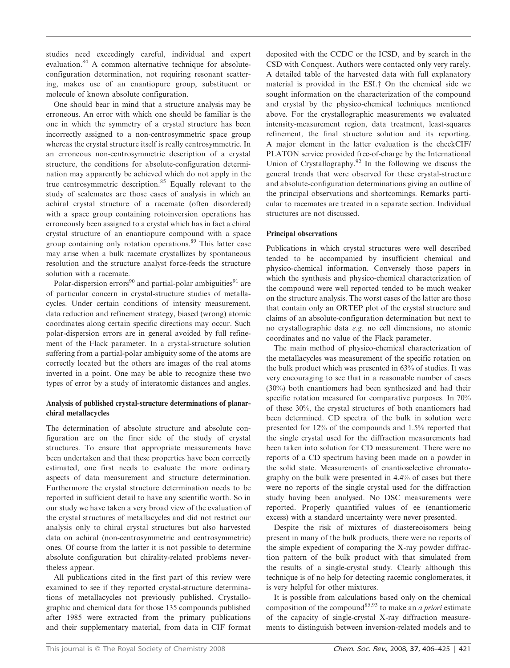studies need exceedingly careful, individual and expert evaluation.<sup>84</sup> A common alternative technique for absoluteconfiguration determination, not requiring resonant scattering, makes use of an enantiopure group, substituent or molecule of known absolute configuration.

One should bear in mind that a structure analysis may be erroneous. An error with which one should be familiar is the one in which the symmetry of a crystal structure has been incorrectly assigned to a non-centrosymmetric space group whereas the crystal structure itself is really centrosymmetric. In an erroneous non-centrosymmetric description of a crystal structure, the conditions for absolute-configuration determination may apparently be achieved which do not apply in the true centrosymmetric description.<sup>85</sup> Equally relevant to the study of scalemates are those cases of analysis in which an achiral crystal structure of a racemate (often disordered) with a space group containing rotoinversion operations has erroneously been assigned to a crystal which has in fact a chiral crystal structure of an enantiopure compound with a space group containing only rotation operations.<sup>89</sup> This latter case may arise when a bulk racemate crystallizes by spontaneous resolution and the structure analyst force-feeds the structure solution with a racemate.

Polar-dispersion errors<sup>90</sup> and partial-polar ambiguities<sup>91</sup> are of particular concern in crystal-structure studies of metallacycles. Under certain conditions of intensity measurement, data reduction and refinement strategy, biased (wrong) atomic coordinates along certain specific directions may occur. Such polar-dispersion errors are in general avoided by full refinement of the Flack parameter. In a crystal-structure solution suffering from a partial-polar ambiguity some of the atoms are correctly located but the others are images of the real atoms inverted in a point. One may be able to recognize these two types of error by a study of interatomic distances and angles.

# Analysis of published crystal-structure determinations of planarchiral metallacycles

The determination of absolute structure and absolute configuration are on the finer side of the study of crystal structures. To ensure that appropriate measurements have been undertaken and that these properties have been correctly estimated, one first needs to evaluate the more ordinary aspects of data measurement and structure determination. Furthermore the crystal structure determination needs to be reported in sufficient detail to have any scientific worth. So in our study we have taken a very broad view of the evaluation of the crystal structures of metallacycles and did not restrict our analysis only to chiral crystal structures but also harvested data on achiral (non-centrosymmetric and centrosymmetric) ones. Of course from the latter it is not possible to determine absolute configuration but chirality-related problems nevertheless appear.

All publications cited in the first part of this review were examined to see if they reported crystal-structure determinations of metallacycles not previously published. Crystallographic and chemical data for those 135 compounds published after 1985 were extracted from the primary publications and their supplementary material, from data in CIF format deposited with the CCDC or the ICSD, and by search in the CSD with Conquest. Authors were contacted only very rarely. A detailed table of the harvested data with full explanatory material is provided in the ESI.<sup>†</sup> On the chemical side we sought information on the characterization of the compound and crystal by the physico-chemical techniques mentioned above. For the crystallographic measurements we evaluated intensity-measurement region, data treatment, least-squares refinement, the final structure solution and its reporting. A major element in the latter evaluation is the checkCIF/ PLATON service provided free-of-charge by the International Union of Crystallography.<sup>92</sup> In the following we discuss the general trends that were observed for these crystal-structure and absolute-configuration determinations giving an outline of the principal observations and shortcomings. Remarks particular to racemates are treated in a separate section. Individual structures are not discussed.

# Principal observations

Publications in which crystal structures were well described tended to be accompanied by insufficient chemical and physico-chemical information. Conversely those papers in which the synthesis and physico-chemical characterization of the compound were well reported tended to be much weaker on the structure analysis. The worst cases of the latter are those that contain only an ORTEP plot of the crystal structure and claims of an absolute-configuration determination but next to no crystallographic data e.g. no cell dimensions, no atomic coordinates and no value of the Flack parameter.

The main method of physico-chemical characterization of the metallacycles was measurement of the specific rotation on the bulk product which was presented in 63% of studies. It was very encouraging to see that in a reasonable number of cases (30%) both enantiomers had been synthesized and had their specific rotation measured for comparative purposes. In 70% of these 30%, the crystal structures of both enantiomers had been determined. CD spectra of the bulk in solution were presented for 12% of the compounds and 1.5% reported that the single crystal used for the diffraction measurements had been taken into solution for CD measurement. There were no reports of a CD spectrum having been made on a powder in the solid state. Measurements of enantioselective chromatography on the bulk were presented in 4.4% of cases but there were no reports of the single crystal used for the diffraction study having been analysed. No DSC measurements were reported. Properly quantified values of ee (enantiomeric excess) with a standard uncertainty were never presented.

Despite the risk of mixtures of diastereoisomers being present in many of the bulk products, there were no reports of the simple expedient of comparing the X-ray powder diffraction pattern of the bulk product with that simulated from the results of a single-crystal study. Clearly although this technique is of no help for detecting racemic conglomerates, it is very helpful for other mixtures.

It is possible from calculations based only on the chemical composition of the compound<sup>85,93</sup> to make an *a priori* estimate of the capacity of single-crystal X-ray diffraction measurements to distinguish between inversion-related models and to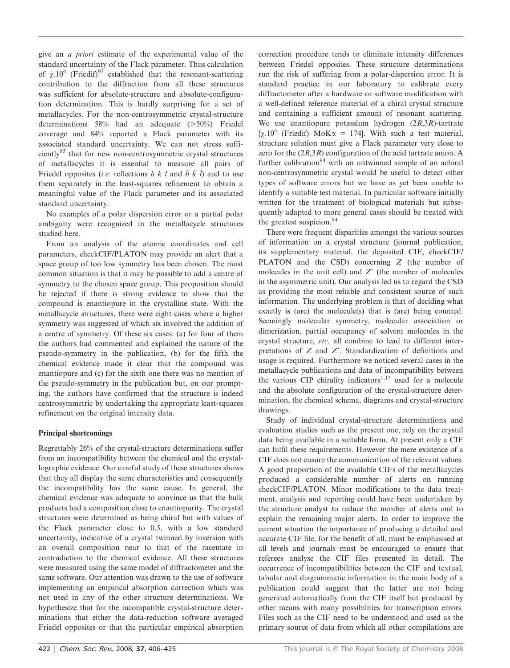give an a priori estimate of the experimental value of the standard uncertainty of the Flack parameter. Thus calculation of  $\chi$ .10<sup>4</sup> (Friedif)<sup>93</sup> established that the resonant-scattering contribution to the diffraction from all these structures was sufficient for absolute-structure and absolute-configuration determination. This is hardly surprising for a set of metallacycles. For the non-centrosymmetric crystal-structure determinations  $58\%$  had an adequate ( $>50\%$ ) Friedel coverage and 84% reported a Flack parameter with its associated standard uncertainty. We can not stress sufficiently<sup>85</sup> that for new non-centrosymmetric crystal structures of metallacycles it is essential to measure all pairs of Friedel opposites (*i.e.* reflections  $h k l$  and  $\bar{h} \bar{k} \bar{l}$ ) and to use them separately in the least-squares refinement to obtain a meaningful value of the Flack parameter and its associated standard uncertainty.

No examples of a polar dispersion error or a partial polar ambiguity were recognized in the metallacycle structures studied here.

From an analysis of the atomic coordinates and cell parameters, checkCIF/PLATON may provide an alert that a space group of too low symmetry has been chosen. The most common situation is that it may be possible to add a centre of symmetry to the chosen space group. This proposition should be rejected if there is strong evidence to show that the compound is enantiopure in the crystalline state. With the metallacycle structures, there were eight cases where a higher symmetry was suggested of which six involved the addition of a centre of symmetry. Of these six cases: (a) for four of them the authors had commented and explained the nature of the pseudo-symmetry in the publication, (b) for the fifth the chemical evidence made it clear that the compound was enantiopure and (c) for the sixth one there was no mention of the pseudo-symmetry in the publication but, on our prompting, the authors have confirmed that the structure is indeed centrosymmetric by undertaking the appropriate least-squares refinement on the original intensity data.

# Principal shortcomings

Regrettably 26% of the crystal-structure determinations suffer from an incompatibility between the chemical and the crystallographic evidence. Our careful study of these structures shows that they all display the same characteristics and consequently the incompatibility has the same cause. In general, the chemical evidence was adequate to convince us that the bulk products had a composition close to enantiopurity. The crystal structures were determined as being chiral but with values of the Flack parameter close to 0.5, with a low standard uncertainty, indicative of a crystal twinned by inversion with an overall composition near to that of the racemate in contradiction to the chemical evidence. All these structures were measured using the same model of diffractometer and the same software. Our attention was drawn to the use of software implementing an empirical absorption correction which was not used in any of the other structure determinations. We hypothesize that for the incompatible crystal-structure determinations that either the data-reduction software averaged Friedel opposites or that the particular empirical absorption correction procedure tends to eliminate intensity differences between Friedel opposites. These structure determinations run the risk of suffering from a polar-dispersion error. It is standard practice in our laboratory to calibrate every diffractometer after a hardware or software modification with a well-defined reference material of a chiral crystal structure and containing a sufficient amount of resonant scattering. We use enantiopure potassium hydrogen  $(2R,3R)$ -tartrate [ $\chi$ .10<sup>4</sup> (Friedif) MoK $\alpha$  = 174]. With such a test material, structure solution must give a Flack parameter very close to zero for the  $(2R,3R)$  configuration of the acid tartrate anion. A further calibration<sup>94</sup> with an untwinned sample of an achiral non-centrosymmetric crystal would be useful to detect other types of software errors but we have as yet been unable to identify a suitable test material. In particular software initially written for the treatment of biological materials but subsequently adapted to more general cases should be treated with the greatest suspicion.<sup>94</sup>

There were frequent disparities amongst the various sources of information on a crystal structure (journal publication, its supplementary material, the deposited CIF, checkCIF/ PLATON and the CSD) concerning Z (the number of molecules in the unit cell) and  $Z'$  (the number of molecules in the asymmetric unit). Our analysis led us to regard the CSD as providing the most reliable and consistent source of such information. The underlying problem is that of deciding what exactly is (are) the molecule(s) that is (are) being counted. Seemingly molecular symmetry, molecular association or dimerization, partial occupancy of solvent molecules in the crystal structure, etc. all combine to lead to different interpretations of  $Z$  and  $Z'$ . Standardization of definitions and usage is required. Furthermore we noticed several cases in the metallacycle publications and data of incompatibility between the various CIP chirality indicators<sup>1,13</sup> used for a molecule and the absolute configuration of the crystal-structure determination, the chemical schema, diagrams and crystal-structure drawings.

Study of individual crystal-structure determinations and evaluation studies such as the present one, rely on the crystal data being available in a suitable form. At present only a CIF can fulfil these requirements. However the mere existence of a CIF does not ensure the communication of the relevant values. A good proportion of the available CIFs of the metallacycles produced a considerable number of alerts on running checkCIF/PLATON. Minor modifications to the data treatment, analysis and reporting could have been undertaken by the structure analyst to reduce the number of alerts and to explain the remaining major alerts. In order to improve the current situation the importance of producing a detailed and accurate CIF file, for the benefit of all, must be emphasised at all levels and journals must be encouraged to ensure that referees analyse the CIF files presented in detail. The occurrence of incompatibilities between the CIF and textual, tabular and diagrammatic information in the main body of a publication could suggest that the latter are not being generated automatically from the CIF itself but produced by other means with many possibilities for transcription errors. Files such as the CIF need to be understood and used as the primary source of data from which all other compilations are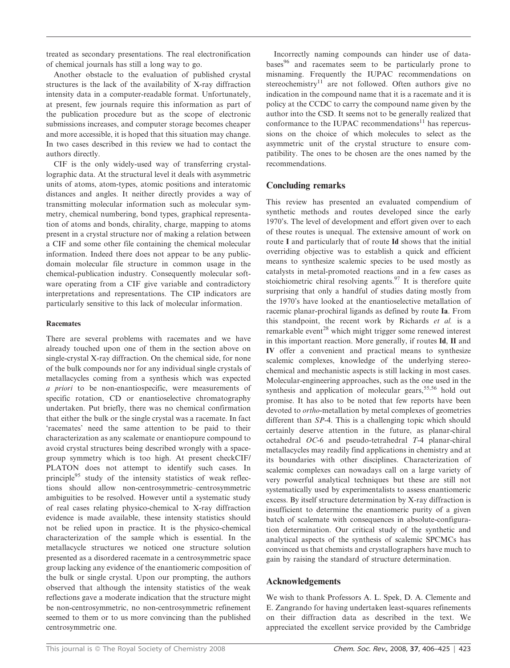treated as secondary presentations. The real electronification of chemical journals has still a long way to go.

Another obstacle to the evaluation of published crystal structures is the lack of the availability of X-ray diffraction intensity data in a computer-readable format. Unfortunately, at present, few journals require this information as part of the publication procedure but as the scope of electronic submissions increases, and computer storage becomes cheaper and more accessible, it is hoped that this situation may change. In two cases described in this review we had to contact the authors directly.

CIF is the only widely-used way of transferring crystallographic data. At the structural level it deals with asymmetric units of atoms, atom-types, atomic positions and interatomic distances and angles. It neither directly provides a way of transmitting molecular information such as molecular symmetry, chemical numbering, bond types, graphical representation of atoms and bonds, chirality, charge, mapping to atoms present in a crystal structure nor of making a relation between a CIF and some other file containing the chemical molecular information. Indeed there does not appear to be any publicdomain molecular file structure in common usage in the chemical-publication industry. Consequently molecular software operating from a CIF give variable and contradictory interpretations and representations. The CIP indicators are particularly sensitive to this lack of molecular information.

# Racemates

There are several problems with racemates and we have already touched upon one of them in the section above on single-crystal X-ray diffraction. On the chemical side, for none of the bulk compounds nor for any individual single crystals of metallacycles coming from a synthesis which was expected a priori to be non-enantiospecific, were measurements of specific rotation, CD or enantioselective chromatography undertaken. Put briefly, there was no chemical confirmation that either the bulk or the single crystal was a racemate. In fact 'racemates' need the same attention to be paid to their characterization as any scalemate or enantiopure compound to avoid crystal structures being described wrongly with a spacegroup symmetry which is too high. At present checkCIF/ PLATON does not attempt to identify such cases. In principle<sup>95</sup> study of the intensity statistics of weak reflections should allow non-centrosymmetric–centrosymmetric ambiguities to be resolved. However until a systematic study of real cases relating physico-chemical to X-ray diffraction evidence is made available, these intensity statistics should not be relied upon in practice. It is the physico-chemical characterization of the sample which is essential. In the metallacycle structures we noticed one structure solution presented as a disordered racemate in a centrosymmetric space group lacking any evidence of the enantiomeric composition of the bulk or single crystal. Upon our prompting, the authors observed that although the intensity statistics of the weak reflections gave a moderate indication that the structure might be non-centrosymmetric, no non-centrosymmetric refinement seemed to them or to us more convincing than the published centrosymmetric one.

Incorrectly naming compounds can hinder use of databases<sup>96</sup> and racemates seem to be particularly prone to misnaming. Frequently the IUPAC recommendations on stereochemistry<sup>11</sup> are not followed. Often authors give no indication in the compound name that it is a racemate and it is policy at the CCDC to carry the compound name given by the author into the CSD. It seems not to be generally realized that conformance to the IUPAC recommendations<sup>11</sup> has repercussions on the choice of which molecules to select as the asymmetric unit of the crystal structure to ensure compatibility. The ones to be chosen are the ones named by the recommendations.

# Concluding remarks

This review has presented an evaluated compendium of synthetic methods and routes developed since the early 1970's. The level of development and effort given over to each of these routes is unequal. The extensive amount of work on route I and particularly that of route Id shows that the initial overriding objective was to establish a quick and efficient means to synthesize scalemic species to be used mostly as catalysts in metal-promoted reactions and in a few cases as stoichiometric chiral resolving agents.<sup>97</sup> It is therefore quite surprising that only a handful of studies dating mostly from the 1970's have looked at the enantioselective metallation of racemic planar-prochiral ligands as defined by route Ia. From this standpoint, the recent work by Richards et al. is a remarkable event<sup>28</sup> which might trigger some renewed interest in this important reaction. More generally, if routes Id, II and IV offer a convenient and practical means to synthesize scalemic complexes, knowledge of the underlying stereochemical and mechanistic aspects is still lacking in most cases. Molecular-engineering approaches, such as the one used in the synthesis and application of molecular gears,  $55,56$  hold out promise. It has also to be noted that few reports have been devoted to ortho-metallation by metal complexes of geometries different than SP-4. This is a challenging topic which should certainly deserve attention in the future, as planar-chiral octahedral OC-6 and pseudo-tetrahedral T-4 planar-chiral metallacycles may readily find applications in chemistry and at its boundaries with other disciplines. Characterization of scalemic complexes can nowadays call on a large variety of very powerful analytical techniques but these are still not systematically used by experimentalists to assess enantiomeric excess. By itself structure determination by X-ray diffraction is insufficient to determine the enantiomeric purity of a given batch of scalemate with consequences in absolute-configuration determination. Our critical study of the synthetic and analytical aspects of the synthesis of scalemic SPCMCs has convinced us that chemists and crystallographers have much to gain by raising the standard of structure determination.

# Acknowledgements

We wish to thank Professors A. L. Spek, D. A. Clemente and E. Zangrando for having undertaken least-squares refinements on their diffraction data as described in the text. We appreciated the excellent service provided by the Cambridge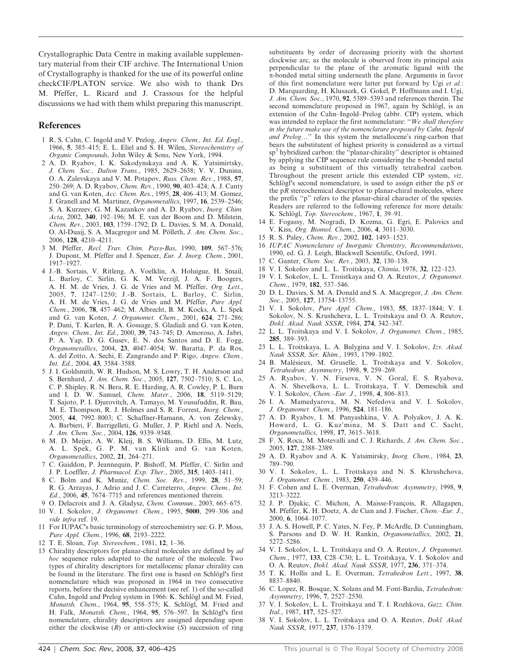Crystallographic Data Centre in making available supplementary material from their CIF archive. The International Union of Crystallography is thanked for the use of its powerful online checkCIF/PLATON service. We also wish to thank Drs M. Pfeffer, L. Ricard and J. Crassous for the helpful discussions we had with them whilst preparing this manuscript.

### References

- 1 R. S. Cahn, C. Ingold and V. Prelog, Angew. Chem., Int. Ed. Engl., 1966, 5, 385–415; E. L. Eliel and S. H. Wilen, Stereochemistry of Organic Compounds, John Wiley & Sons, New York, 1994.
- 2 A. D. Ryabov, I. K. Sakodynskaya and A. K. Yatsimirtsky, J. Chem. Soc., Dalton Trans., 1985, 2629–2638; V. V. Dunina, O. A. Zalevskaya and V. M. Potapov, Russ. Chem. Rev., 1988, 57, 250–269; A. D. Ryabov, Chem. Rev., 1990, 90, 403–424; A. J. Canty and G. van Koten, Acc. Chem. Res., 1995, 28, 406–413; M. Gomez, J. Granell and M. Martinez, Organometallics, 1997, 16, 2539–2546; S. A. Kurzeev, G. M. Kazankov and A. D. Ryabov, Inorg. Chim. Acta, 2002, 340, 192–196; M. E. van der Boom and D. Milstein, Chem. Rev., 2003, 103, 1759–1792; D. L. Davies, S. M. A. Donald, O. Al-Duaij, S. A. Macgregor and M. Pölleth, J. Am. Chem. Soc., 2006, 128, 4210–4211.
- 3 M. Pfeffer, Recl. Trav. Chim. Pays-Bas, 1990, 109, 567–576; J. Dupont, M. Pfeffer and J. Spencer, Eur. J. Inorg. Chem., 2001, 1917–1927.
- 4 J.-B. Sortais, V. Ritleng, A. Voelklin, A. Holuigue, H. Smail, L. Barloy, C. Sirlin, G. K. M. Verzijl, J. A. F. Boogers, A. H. M. de Vries, J. G. de Vries and M. Pfeffer, Org. Lett., 2005, 7, 1247–1250; J.-B. Sortais, L. Barloy, C. Sirlin, A. H. M. de Vries, J. G. de Vries and M. Pfeffer, Pure Appl. Chem., 2006, 78, 457–462; M. Albrecht, B. M. Kocks, A. L. Spek and G. van Koten, J. Organomet. Chem., 2001, 624, 271-286; P. Dani, T. Karlen, R. A. Gossage, S. Gladiali and G. van Koten, Angew. Chem., Int. Ed., 2000, 39, 743–745; D. Amoroso, A. Jabri, P. A. Yap, D. G. Gusev, E. N. dos Santos and D. E. Fogg, Organometallics, 2004, 23, 4047–4054; W. Baratta, P. da Ros, A. del Zotto, A. Sechi, E. Zangrando and P. Rigo, Angew. Chem., Int. Ed., 2004, 43, 3584–3588.
- 5 J. I. Goldsmith, W. R. Hudson, M. S. Lowry, T. H. Anderson and S. Bernhard, J. Am. Chem. Soc., 2005, 127, 7502–7510; S. C. Lo, C. P. Shipley, R. N. Bera, R. E. Harding, A. R. Cowley, P. L. Burn and I. D. W. Samuel, Chem. Mater., 2006, 18, 5119–5129; T. Sajoto, P. I. Djurovitch, A. Tamayo, M. Yousufuddin, R. Bau, M. E. Thompson, R. J. Holmes and S. R. Forrest, Inorg. Chem., 2005, 44, 7992–8003; C. Schaffner-Hamann, A. von Zelewsky, A. Barbieri, F. Barrigelleti, G. Muller, J. P. Riehl and A. Neels, J. Am. Chem. Soc., 2004, 126, 9339–9348.
- 6 M. D. Meijer, A. W. Kleij, B. S. Williams, D. Ellis, M. Lutz, A. L. Spek, G. P. M. van Klink and G. van Koten, Organometallics, 2002, 21, 264–271.
- 7 C. Gaiddon, P. Jeannequin, P. Bishoff, M. Pfeffer, C. Sirlin and J. P. Loeffler, J. Pharmacol. Exp. Ther., 2005, 315, 1403–1411.
- 8 C. Bolm and K. Muniz, Chem. Soc. Rev., 1999, 28, 51–59; R. G. Arrayas, J. Adrio and J. C. Carreterro, Angew. Chem., Int. Ed., 2006, 45, 7674–7715 and references mentioned therein.
- 9 O. Delacroix and J. A. Gladysz, Chem. Commun., 2003, 665–675.
- 10 V. I. Sokolov, J. Organomet. Chem., 1995, 5000, 299–306 and vide infra ref. 19.
- 11 For IUPAC's basic terminology of stereochemistry see: G. P. Moss, Pure Appl. Chem., 1996, 68, 2193-2222.
- 12 T. E. Sloan, Top. Stereochem., 1981, 12, 1–36.
- 13 Chirality descriptors for planar-chiral molecules are defined by ad hoc sequence rules adapted to the nature of the molecule. Two types of chirality descriptors for metallocenic planar chirality can be found in the literature. The first one is based on Schlögl's first nomenclature which was proposed in 1964 in two consecutive reports, before the decisive enhancement (see ref. 1) of the so-called Cahn, Ingold and Prelog system in 1966: K. Schlögl and M. Fried, Monatsh. Chem., 1964, 95, 558-575; K. Schlögl, M. Fried and H. Falk, Monatsh. Chem., 1964, 95, 576–597. In Schlögl's first nomenclature, chirality descriptors are assigned depending upon either the clockwise  $(R)$  or anti-clockwise  $(S)$  succession of ring

substituents by order of decreasing priority with the shortest clockwise arc, as the molecule is observed from its principal axis perpendicular to the plane of the aromatic ligand with the  $\pi$ -bonded metal sitting underneath the plane. Arguments in favor of this first nomenclature were latter put forward by Ugi et al.: D. Marquarding, H. Klusacek, G. Gokel, P. Hoffmann and I. Ugi, J. Am. Chem. Soc., 1970, 92, 5389–5393 and references therein. The second nomenclature proposed in 1967, again by Schlögl, is an extension of the Cahn–Ingold–Prelog (abbr. CIP) system, which was intended to replace the first nomenclature: "We shall therefore in the future make use of the nomenclature proposed by Cahn, Ingold and Prelog..." In this system the metallocene's ring-carbon that bears the substitutent of highest priority is considered as a virtual sp<sup>3</sup> hybridized carbon: the "planar-chirality" descriptor is obtained by applying the CIP sequence rule considering the  $\pi$ -bonded metal as being a substituent of this virtually tetrahedral carbon. Throughout the present article this extended CIP system, viz. Schlögl's second nomenclature, is used to assign either the  $pS$  or the  $pR$  stereochemical descriptor to planar-chiral molecules, where the prefix ''p'' refers to the planar-chiral character of the species. Readers are referred to the following reference for more details: K. Schlögl, Top. Stereochem., 1967, 1, 39-91.

- 14 E. Fogassy, M. Nogradi, D. Kozma, G. Egri, E. Palovics and V. Kiss, Org. Biomol. Chem., 2006, 4, 3011–3030.
- 15 R. S. Paley, Chem. Rev., 2002, 102, 1493–1523.
- 16 IUPAC Nomenclature of Inorganic Chemistry, Recommendations, 1990, ed. G. J. Leigh, Blackwell Scientific, Oxford, 1991.
- 17 C. Ganter, Chem. Soc. Rev., 2003, 32, 130–138.
- 18 V. I. Sokolov and L. L. Troitskaya, Chimia, 1978, 32, 122–123.
- 19 V. I. Sokolov, L. L. Troistkaya and O. A. Reutov, J. Organomet. Chem., 1979, 182, 537–546.
- 20 D. L. Davies, S. M. A. Donald and S. A. Macgregor, J. Am. Chem. Soc., 2005, 127, 13754-13755.
- 21 V. I. Sokolov, Pure Appl. Chem., 1983, 55, 1837–1844; V. I. Sokolov, N. S. Krushcheva, L. L. Troitskaya and O. A. Reutov, Dokl. Akad. Nauk SSSR, 1984, 274, 342–347.
- 22 L. L. Troitskaya and V. I. Sokolov, J. Organomet. Chem., 1985, 285, 389–393.
- 23 L. L. Troitskaya, L. A. Bulygina and V. I. Sokolov, Izv. Akad. Nauk SSSR, Ser. Khim., 1993, 1799–1802.
- 24 B. Malésieux, M. Gruselle, L. Troitskaya and V. Sokolov, Tetrahedron: Asymmetry, 1998, 9, 259–269.
- 25 A. Ryabov, Y. N. Firsova, V. N. Goral, E. S. Ryabova, A. N. Shevelkova, L. L. Troitskaya, T. V. Demeschik and V. I. Sokolov, Chem.–Eur. J., 1998, 4, 806–813.
- 26 I. A. Mamedyarova, M. N. Nefedova and V. I. Sokolov, J. Organomet. Chem., 1996, 524, 181–186.
- 27 A. D. Ryabov, I. M. Panyashkina, V. A. Polyakov, J. A. K. Howard, L. G. Kuz'mina, M. S. Datt and C. Sacht, Organometallics, 1998, 17, 3615–3618.
- 28 F. X. Roca, M. Motevalli and C. J. Richards, J. Am. Chem. Soc., 2005, 127, 2388–2389.
- 29 A. D. Ryabov and A. K. Yatsimirsky, Inorg. Chem., 1984, 23, 789–790.
- 30 V. I. Sokolov, L. L. Troitskaya and N. S. Khrushchova, J. Organomet. Chem., 1983, 250, 439–446.
- 31 F. Cohen and L. E. Overman, Tetrahedron: Asymmetry, 1998, 9, 3213–3222.
- 32 J. P. Djukic, C. Michon, A. Maisse-François, R. Allagapen, M. Pfeffer, K. H. Doetz, A. de Cian and J. Fischer, Chem.–Eur. J., 2000, 6, 1064–1077.
- 33 J. A. S. Howell, P. C. Yates, N. Fey, P. McArdle, D. Cunningham, S. Parsons and D. W. H. Rankin, Organometallics, 2002, 21, 5272–5286.
- 34 V. I. Sokolov, L. L. Troitskaya and O. A. Reutov, J. Organomet. Chem., 1977, 133, C28–C30; L. L. Troitskaya, V. I. Sokolov and O. A. Reutov, Dokl. Akad. Nauk SSSR, 1977, 236, 371–374.
- 35 T. K. Hollis and L. E. Overman, Tetrahedron Lett., 1997, 38, 8837–8840.
- 36 C. Lopez, R. Bosque, X. Solans and M. Font-Bardia, Tetrahedron: Asymmetry, 1996, 7, 2527–2530.
- 37 V. I. Sokolov, L. L. Troitskaya and T. I. Rozhkova, Gazz. Chim. Ital., 1987, 117, 525–527.
- 38 V. I. Sokolov, L. L. Troitskaya and O. A. Reutov, Dokl. Akad. Nauk SSSR, 1977, 237, 1376–1379.